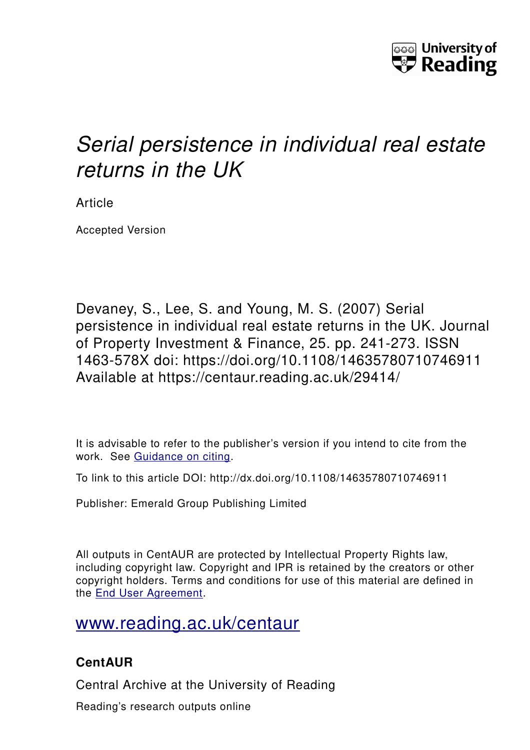

# *Serial persistence in individual real estate returns in the UK*

Article

Accepted Version

Devaney, S., Lee, S. and Young, M. S. (2007) Serial persistence in individual real estate returns in the UK. Journal of Property Investment & Finance, 25. pp. 241-273. ISSN 1463-578X doi: https://doi.org/10.1108/14635780710746911 Available at https://centaur.reading.ac.uk/29414/

It is advisable to refer to the publisher's version if you intend to cite from the work. See [Guidance on citing.](http://centaur.reading.ac.uk/71187/10/CentAUR%20citing%20guide.pdf)

To link to this article DOI: http://dx.doi.org/10.1108/14635780710746911

Publisher: Emerald Group Publishing Limited

All outputs in CentAUR are protected by Intellectual Property Rights law, including copyright law. Copyright and IPR is retained by the creators or other copyright holders. Terms and conditions for use of this material are defined in the [End User Agreement.](http://centaur.reading.ac.uk/licence)

[www.reading.ac.uk/centaur](http://www.reading.ac.uk/centaur)

## **CentAUR**

Central Archive at the University of Reading

Reading's research outputs online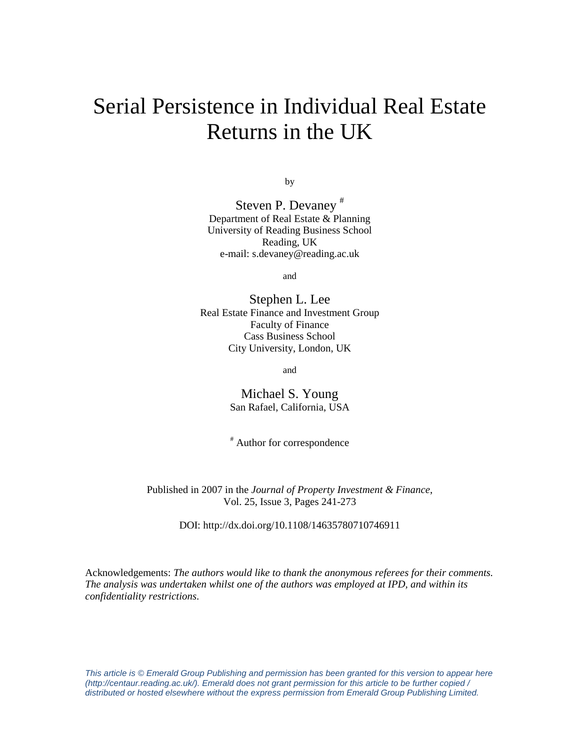## Serial Persistence in Individual Real Estate Returns in the UK

by

Steven P. Devaney # Department of Real Estate & Planning University of Reading Business School Reading, UK e-mail: s.devaney@reading.ac.uk

and

Stephen L. Lee Real Estate Finance and Investment Group Faculty of Finance Cass Business School City University, London, UK

and

Michael S. Young San Rafael, California, USA

# Author for correspondence

Published in 2007 in the *Journal of Property Investment & Finance*, Vol. 25, Issue 3, Pages 241-273

DOI: http://dx.doi.org/10.1108/14635780710746911

Acknowledgements: *The authors would like to thank the anonymous referees for their comments. The analysis was undertaken whilst one of the authors was employed at IPD, and within its confidentiality restrictions*.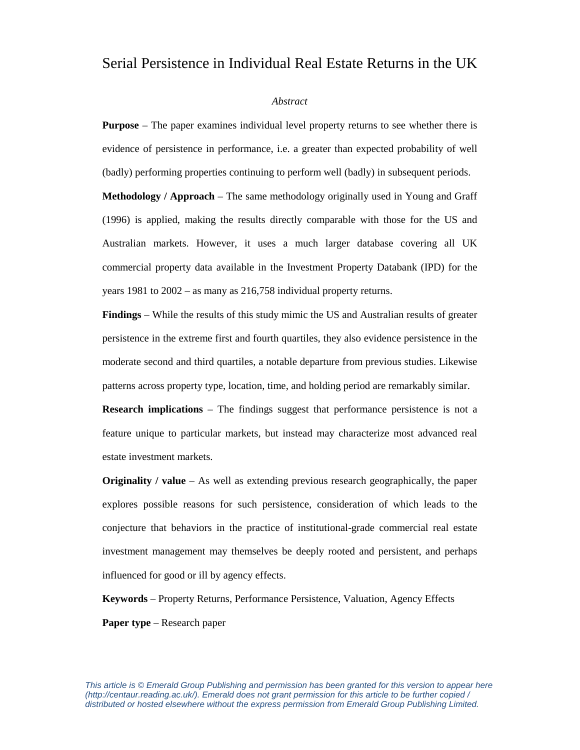## Serial Persistence in Individual Real Estate Returns in the UK

#### *Abstract*

**Purpose** – The paper examines individual level property returns to see whether there is evidence of persistence in performance, i.e. a greater than expected probability of well (badly) performing properties continuing to perform well (badly) in subsequent periods.

**Methodology / Approach** – The same methodology originally used in Young and Graff (1996) is applied, making the results directly comparable with those for the US and Australian markets. However, it uses a much larger database covering all UK commercial property data available in the Investment Property Databank (IPD) for the years 1981 to 2002 – as many as 216,758 individual property returns.

**Findings** – While the results of this study mimic the US and Australian results of greater persistence in the extreme first and fourth quartiles, they also evidence persistence in the moderate second and third quartiles, a notable departure from previous studies. Likewise patterns across property type, location, time, and holding period are remarkably similar.

**Research implications** – The findings suggest that performance persistence is not a feature unique to particular markets, but instead may characterize most advanced real estate investment markets.

**Originality / value** – As well as extending previous research geographically, the paper explores possible reasons for such persistence, consideration of which leads to the conjecture that behaviors in the practice of institutional-grade commercial real estate investment management may themselves be deeply rooted and persistent, and perhaps influenced for good or ill by agency effects.

**Keywords** – Property Returns, Performance Persistence, Valuation, Agency Effects

**Paper type** – Research paper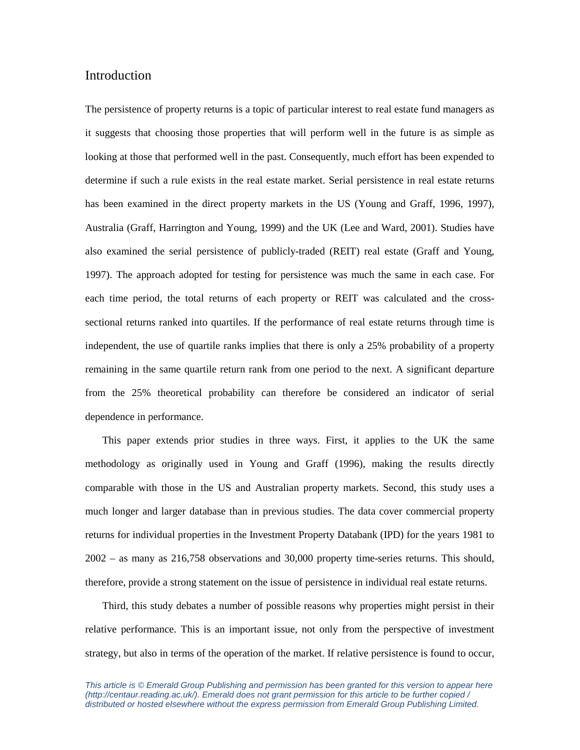## Introduction

The persistence of property returns is a topic of particular interest to real estate fund managers as it suggests that choosing those properties that will perform well in the future is as simple as looking at those that performed well in the past. Consequently, much effort has been expended to determine if such a rule exists in the real estate market. Serial persistence in real estate returns has been examined in the direct property markets in the US (Young and Graff, 1996, 1997), Australia (Graff, Harrington and Young, 1999) and the UK (Lee and Ward, 2001). Studies have also examined the serial persistence of publicly-traded (REIT) real estate (Graff and Young, 1997). The approach adopted for testing for persistence was much the same in each case. For each time period, the total returns of each property or REIT was calculated and the crosssectional returns ranked into quartiles. If the performance of real estate returns through time is independent, the use of quartile ranks implies that there is only a 25% probability of a property remaining in the same quartile return rank from one period to the next. A significant departure from the 25% theoretical probability can therefore be considered an indicator of serial dependence in performance.

This paper extends prior studies in three ways. First, it applies to the UK the same methodology as originally used in Young and Graff (1996), making the results directly comparable with those in the US and Australian property markets. Second, this study uses a much longer and larger database than in previous studies. The data cover commercial property returns for individual properties in the Investment Property Databank (IPD) for the years 1981 to 2002 – as many as 216,758 observations and 30,000 property time-series returns. This should, therefore, provide a strong statement on the issue of persistence in individual real estate returns.

Third, this study debates a number of possible reasons why properties might persist in their relative performance. This is an important issue, not only from the perspective of investment strategy, but also in terms of the operation of the market. If relative persistence is found to occur,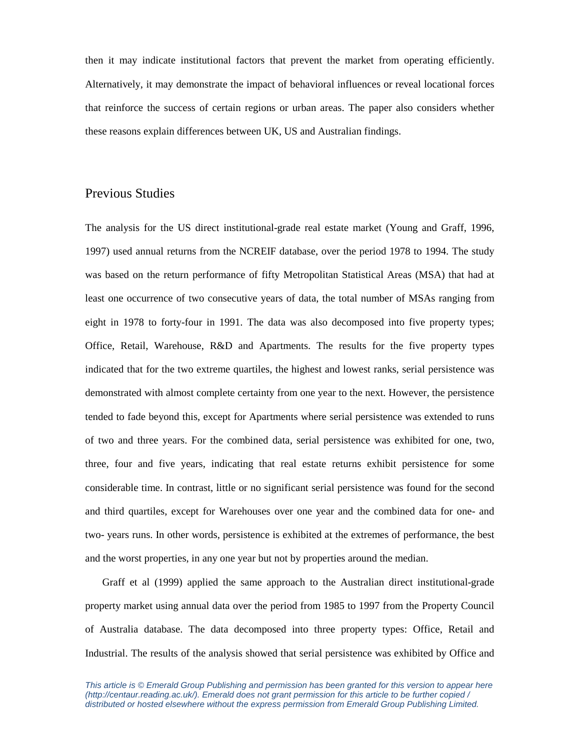then it may indicate institutional factors that prevent the market from operating efficiently. Alternatively, it may demonstrate the impact of behavioral influences or reveal locational forces that reinforce the success of certain regions or urban areas. The paper also considers whether these reasons explain differences between UK, US and Australian findings.

## Previous Studies

The analysis for the US direct institutional-grade real estate market (Young and Graff, 1996, 1997) used annual returns from the NCREIF database, over the period 1978 to 1994. The study was based on the return performance of fifty Metropolitan Statistical Areas (MSA) that had at least one occurrence of two consecutive years of data, the total number of MSAs ranging from eight in 1978 to forty-four in 1991. The data was also decomposed into five property types; Office, Retail, Warehouse, R&D and Apartments. The results for the five property types indicated that for the two extreme quartiles, the highest and lowest ranks, serial persistence was demonstrated with almost complete certainty from one year to the next. However, the persistence tended to fade beyond this, except for Apartments where serial persistence was extended to runs of two and three years. For the combined data, serial persistence was exhibited for one, two, three, four and five years, indicating that real estate returns exhibit persistence for some considerable time. In contrast, little or no significant serial persistence was found for the second and third quartiles, except for Warehouses over one year and the combined data for one- and two- years runs. In other words, persistence is exhibited at the extremes of performance, the best and the worst properties, in any one year but not by properties around the median.

Graff et al (1999) applied the same approach to the Australian direct institutional-grade property market using annual data over the period from 1985 to 1997 from the Property Council of Australia database. The data decomposed into three property types: Office, Retail and Industrial. The results of the analysis showed that serial persistence was exhibited by Office and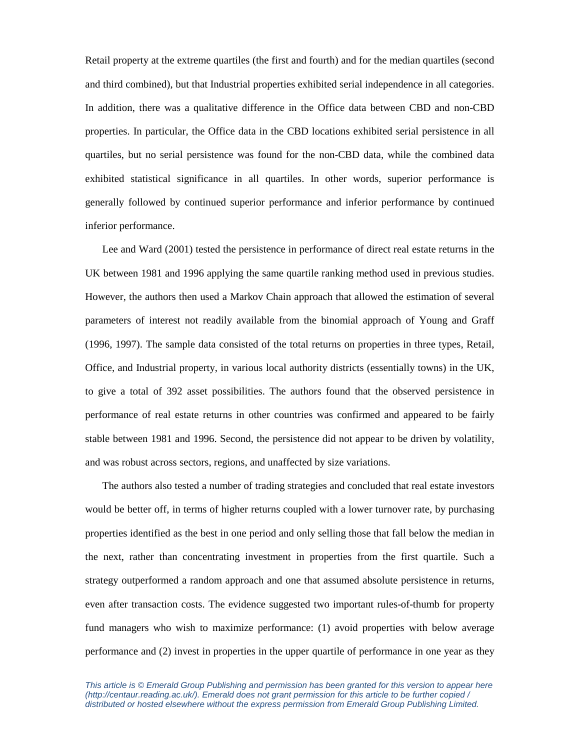Retail property at the extreme quartiles (the first and fourth) and for the median quartiles (second and third combined), but that Industrial properties exhibited serial independence in all categories. In addition, there was a qualitative difference in the Office data between CBD and non-CBD properties. In particular, the Office data in the CBD locations exhibited serial persistence in all quartiles, but no serial persistence was found for the non-CBD data, while the combined data exhibited statistical significance in all quartiles. In other words, superior performance is generally followed by continued superior performance and inferior performance by continued inferior performance.

Lee and Ward (2001) tested the persistence in performance of direct real estate returns in the UK between 1981 and 1996 applying the same quartile ranking method used in previous studies. However, the authors then used a Markov Chain approach that allowed the estimation of several parameters of interest not readily available from the binomial approach of Young and Graff (1996, 1997). The sample data consisted of the total returns on properties in three types, Retail, Office, and Industrial property, in various local authority districts (essentially towns) in the UK, to give a total of 392 asset possibilities. The authors found that the observed persistence in performance of real estate returns in other countries was confirmed and appeared to be fairly stable between 1981 and 1996. Second, the persistence did not appear to be driven by volatility, and was robust across sectors, regions, and unaffected by size variations.

The authors also tested a number of trading strategies and concluded that real estate investors would be better off, in terms of higher returns coupled with a lower turnover rate, by purchasing properties identified as the best in one period and only selling those that fall below the median in the next, rather than concentrating investment in properties from the first quartile. Such a strategy outperformed a random approach and one that assumed absolute persistence in returns, even after transaction costs. The evidence suggested two important rules-of-thumb for property fund managers who wish to maximize performance: (1) avoid properties with below average performance and (2) invest in properties in the upper quartile of performance in one year as they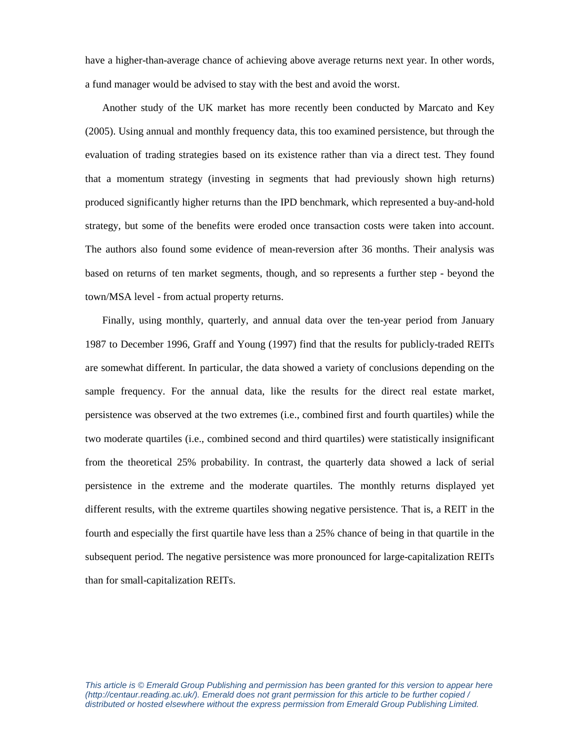have a higher-than-average chance of achieving above average returns next year. In other words, a fund manager would be advised to stay with the best and avoid the worst.

Another study of the UK market has more recently been conducted by Marcato and Key (2005). Using annual and monthly frequency data, this too examined persistence, but through the evaluation of trading strategies based on its existence rather than via a direct test. They found that a momentum strategy (investing in segments that had previously shown high returns) produced significantly higher returns than the IPD benchmark, which represented a buy-and-hold strategy, but some of the benefits were eroded once transaction costs were taken into account. The authors also found some evidence of mean-reversion after 36 months. Their analysis was based on returns of ten market segments, though, and so represents a further step - beyond the town/MSA level - from actual property returns.

Finally, using monthly, quarterly, and annual data over the ten-year period from January 1987 to December 1996, Graff and Young (1997) find that the results for publicly-traded REITs are somewhat different. In particular, the data showed a variety of conclusions depending on the sample frequency. For the annual data, like the results for the direct real estate market, persistence was observed at the two extremes (i.e., combined first and fourth quartiles) while the two moderate quartiles (i.e., combined second and third quartiles) were statistically insignificant from the theoretical 25% probability. In contrast, the quarterly data showed a lack of serial persistence in the extreme and the moderate quartiles. The monthly returns displayed yet different results, with the extreme quartiles showing negative persistence. That is, a REIT in the fourth and especially the first quartile have less than a 25% chance of being in that quartile in the subsequent period. The negative persistence was more pronounced for large-capitalization REITs than for small-capitalization REITs.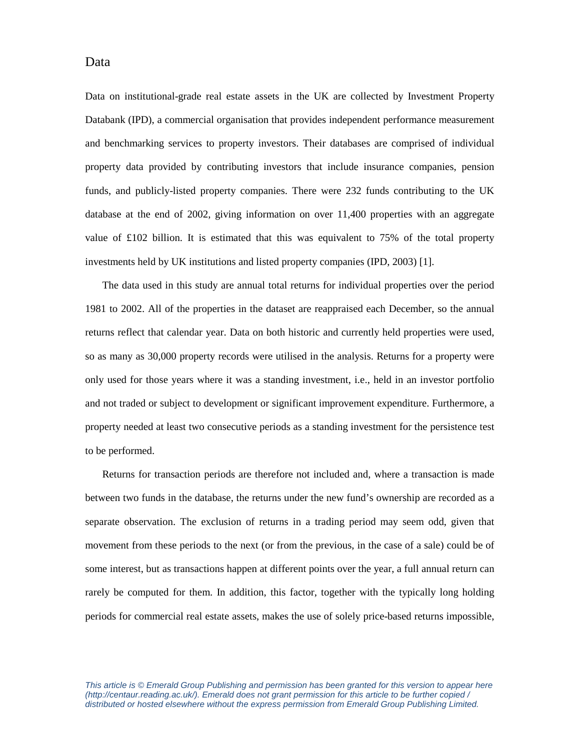### Data

Data on institutional-grade real estate assets in the UK are collected by Investment Property Databank (IPD), a commercial organisation that provides independent performance measurement and benchmarking services to property investors. Their databases are comprised of individual property data provided by contributing investors that include insurance companies, pension funds, and publicly-listed property companies. There were 232 funds contributing to the UK database at the end of 2002, giving information on over 11,400 properties with an aggregate value of £102 billion. It is estimated that this was equivalent to 75% of the total property investments held by UK institutions and listed property companies (IPD, 2003) [1].

The data used in this study are annual total returns for individual properties over the period 1981 to 2002. All of the properties in the dataset are reappraised each December, so the annual returns reflect that calendar year. Data on both historic and currently held properties were used, so as many as 30,000 property records were utilised in the analysis. Returns for a property were only used for those years where it was a standing investment, i.e., held in an investor portfolio and not traded or subject to development or significant improvement expenditure. Furthermore, a property needed at least two consecutive periods as a standing investment for the persistence test to be performed.

Returns for transaction periods are therefore not included and, where a transaction is made between two funds in the database, the returns under the new fund's ownership are recorded as a separate observation. The exclusion of returns in a trading period may seem odd, given that movement from these periods to the next (or from the previous, in the case of a sale) could be of some interest, but as transactions happen at different points over the year, a full annual return can rarely be computed for them. In addition, this factor, together with the typically long holding periods for commercial real estate assets, makes the use of solely price-based returns impossible,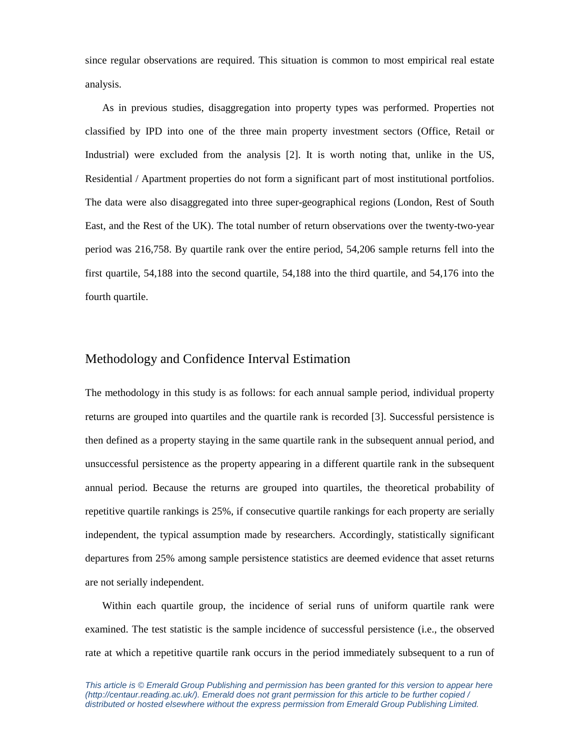since regular observations are required. This situation is common to most empirical real estate analysis.

As in previous studies, disaggregation into property types was performed. Properties not classified by IPD into one of the three main property investment sectors (Office, Retail or Industrial) were excluded from the analysis [2]. It is worth noting that, unlike in the US, Residential / Apartment properties do not form a significant part of most institutional portfolios. The data were also disaggregated into three super-geographical regions (London, Rest of South East, and the Rest of the UK). The total number of return observations over the twenty-two-year period was 216,758. By quartile rank over the entire period, 54,206 sample returns fell into the first quartile, 54,188 into the second quartile, 54,188 into the third quartile, and 54,176 into the fourth quartile.

## Methodology and Confidence Interval Estimation

The methodology in this study is as follows: for each annual sample period, individual property returns are grouped into quartiles and the quartile rank is recorded [3]. Successful persistence is then defined as a property staying in the same quartile rank in the subsequent annual period, and unsuccessful persistence as the property appearing in a different quartile rank in the subsequent annual period. Because the returns are grouped into quartiles, the theoretical probability of repetitive quartile rankings is 25%, if consecutive quartile rankings for each property are serially independent, the typical assumption made by researchers. Accordingly, statistically significant departures from 25% among sample persistence statistics are deemed evidence that asset returns are not serially independent.

Within each quartile group, the incidence of serial runs of uniform quartile rank were examined. The test statistic is the sample incidence of successful persistence (i.e., the observed rate at which a repetitive quartile rank occurs in the period immediately subsequent to a run of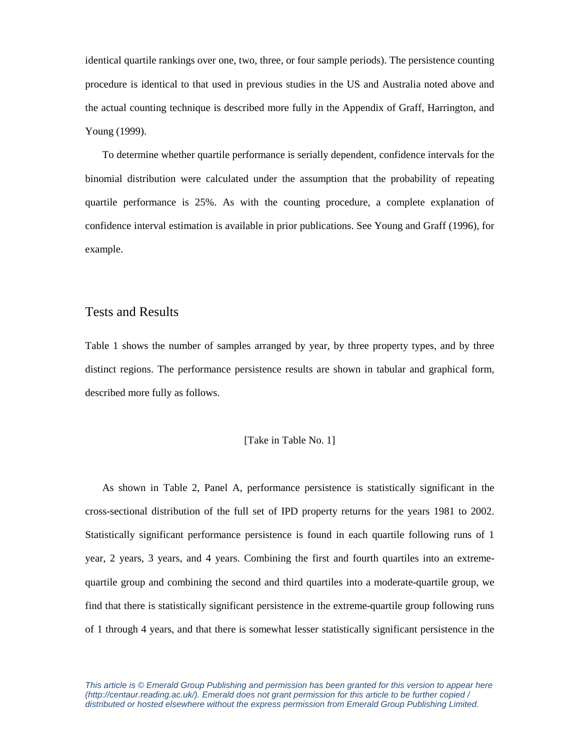identical quartile rankings over one, two, three, or four sample periods). The persistence counting procedure is identical to that used in previous studies in the US and Australia noted above and the actual counting technique is described more fully in the Appendix of Graff, Harrington, and Young (1999).

To determine whether quartile performance is serially dependent, confidence intervals for the binomial distribution were calculated under the assumption that the probability of repeating quartile performance is 25%. As with the counting procedure, a complete explanation of confidence interval estimation is available in prior publications. See Young and Graff (1996), for example.

## Tests and Results

Table 1 shows the number of samples arranged by year, by three property types, and by three distinct regions. The performance persistence results are shown in tabular and graphical form, described more fully as follows.

#### [Take in Table No. 1]

As shown in Table 2, Panel A, performance persistence is statistically significant in the cross-sectional distribution of the full set of IPD property returns for the years 1981 to 2002. Statistically significant performance persistence is found in each quartile following runs of 1 year, 2 years, 3 years, and 4 years. Combining the first and fourth quartiles into an extremequartile group and combining the second and third quartiles into a moderate-quartile group, we find that there is statistically significant persistence in the extreme-quartile group following runs of 1 through 4 years, and that there is somewhat lesser statistically significant persistence in the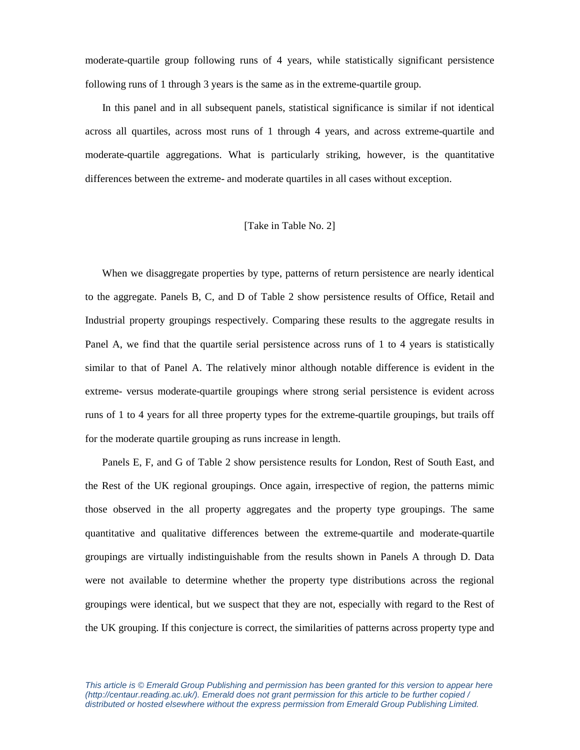moderate-quartile group following runs of 4 years, while statistically significant persistence following runs of 1 through 3 years is the same as in the extreme-quartile group.

In this panel and in all subsequent panels, statistical significance is similar if not identical across all quartiles, across most runs of 1 through 4 years, and across extreme-quartile and moderate-quartile aggregations. What is particularly striking, however, is the quantitative differences between the extreme- and moderate quartiles in all cases without exception.

#### [Take in Table No. 2]

When we disaggregate properties by type, patterns of return persistence are nearly identical to the aggregate. Panels B, C, and D of Table 2 show persistence results of Office, Retail and Industrial property groupings respectively. Comparing these results to the aggregate results in Panel A, we find that the quartile serial persistence across runs of 1 to 4 years is statistically similar to that of Panel A. The relatively minor although notable difference is evident in the extreme- versus moderate-quartile groupings where strong serial persistence is evident across runs of 1 to 4 years for all three property types for the extreme-quartile groupings, but trails off for the moderate quartile grouping as runs increase in length.

Panels E, F, and G of Table 2 show persistence results for London, Rest of South East, and the Rest of the UK regional groupings. Once again, irrespective of region, the patterns mimic those observed in the all property aggregates and the property type groupings. The same quantitative and qualitative differences between the extreme-quartile and moderate-quartile groupings are virtually indistinguishable from the results shown in Panels A through D. Data were not available to determine whether the property type distributions across the regional groupings were identical, but we suspect that they are not, especially with regard to the Rest of the UK grouping. If this conjecture is correct, the similarities of patterns across property type and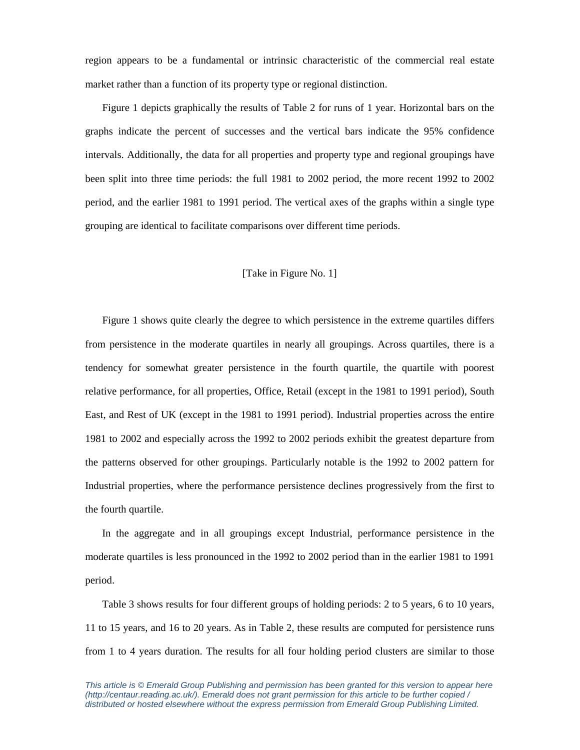region appears to be a fundamental or intrinsic characteristic of the commercial real estate market rather than a function of its property type or regional distinction.

Figure 1 depicts graphically the results of Table 2 for runs of 1 year. Horizontal bars on the graphs indicate the percent of successes and the vertical bars indicate the 95% confidence intervals. Additionally, the data for all properties and property type and regional groupings have been split into three time periods: the full 1981 to 2002 period, the more recent 1992 to 2002 period, and the earlier 1981 to 1991 period. The vertical axes of the graphs within a single type grouping are identical to facilitate comparisons over different time periods.

#### [Take in Figure No. 1]

Figure 1 shows quite clearly the degree to which persistence in the extreme quartiles differs from persistence in the moderate quartiles in nearly all groupings. Across quartiles, there is a tendency for somewhat greater persistence in the fourth quartile, the quartile with poorest relative performance, for all properties, Office, Retail (except in the 1981 to 1991 period), South East, and Rest of UK (except in the 1981 to 1991 period). Industrial properties across the entire 1981 to 2002 and especially across the 1992 to 2002 periods exhibit the greatest departure from the patterns observed for other groupings. Particularly notable is the 1992 to 2002 pattern for Industrial properties, where the performance persistence declines progressively from the first to the fourth quartile.

In the aggregate and in all groupings except Industrial, performance persistence in the moderate quartiles is less pronounced in the 1992 to 2002 period than in the earlier 1981 to 1991 period.

Table 3 shows results for four different groups of holding periods: 2 to 5 years, 6 to 10 years, 11 to 15 years, and 16 to 20 years. As in Table 2, these results are computed for persistence runs from 1 to 4 years duration. The results for all four holding period clusters are similar to those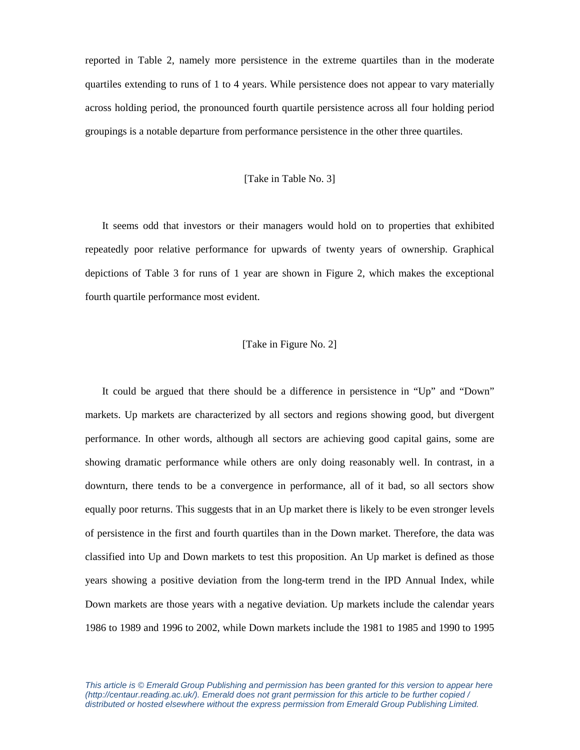reported in Table 2, namely more persistence in the extreme quartiles than in the moderate quartiles extending to runs of 1 to 4 years. While persistence does not appear to vary materially across holding period, the pronounced fourth quartile persistence across all four holding period groupings is a notable departure from performance persistence in the other three quartiles.

#### [Take in Table No. 3]

It seems odd that investors or their managers would hold on to properties that exhibited repeatedly poor relative performance for upwards of twenty years of ownership. Graphical depictions of Table 3 for runs of 1 year are shown in Figure 2, which makes the exceptional fourth quartile performance most evident.

#### [Take in Figure No. 2]

It could be argued that there should be a difference in persistence in "Up" and "Down" markets. Up markets are characterized by all sectors and regions showing good, but divergent performance. In other words, although all sectors are achieving good capital gains, some are showing dramatic performance while others are only doing reasonably well. In contrast, in a downturn, there tends to be a convergence in performance, all of it bad, so all sectors show equally poor returns. This suggests that in an Up market there is likely to be even stronger levels of persistence in the first and fourth quartiles than in the Down market. Therefore, the data was classified into Up and Down markets to test this proposition. An Up market is defined as those years showing a positive deviation from the long-term trend in the IPD Annual Index, while Down markets are those years with a negative deviation. Up markets include the calendar years 1986 to 1989 and 1996 to 2002, while Down markets include the 1981 to 1985 and 1990 to 1995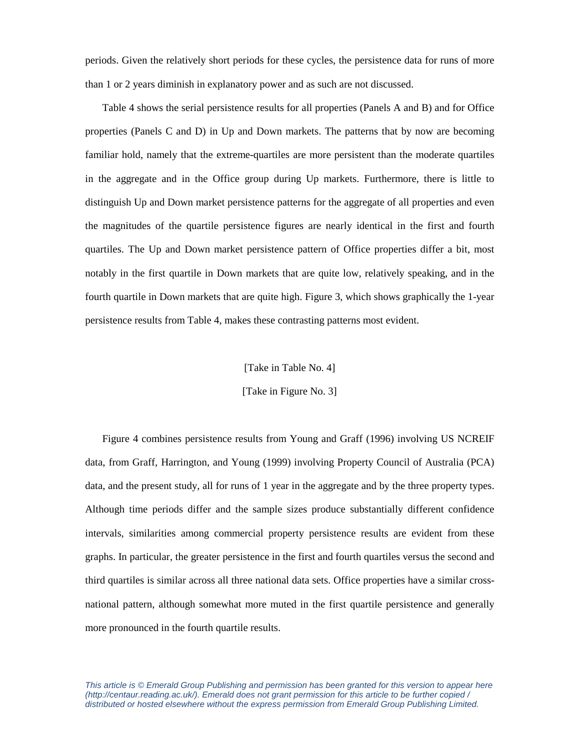periods. Given the relatively short periods for these cycles, the persistence data for runs of more than 1 or 2 years diminish in explanatory power and as such are not discussed.

Table 4 shows the serial persistence results for all properties (Panels A and B) and for Office properties (Panels C and D) in Up and Down markets. The patterns that by now are becoming familiar hold, namely that the extreme-quartiles are more persistent than the moderate quartiles in the aggregate and in the Office group during Up markets. Furthermore, there is little to distinguish Up and Down market persistence patterns for the aggregate of all properties and even the magnitudes of the quartile persistence figures are nearly identical in the first and fourth quartiles. The Up and Down market persistence pattern of Office properties differ a bit, most notably in the first quartile in Down markets that are quite low, relatively speaking, and in the fourth quartile in Down markets that are quite high. Figure 3, which shows graphically the 1-year persistence results from Table 4, makes these contrasting patterns most evident.

#### [Take in Table No. 4]

[Take in Figure No. 3]

Figure 4 combines persistence results from Young and Graff (1996) involving US NCREIF data, from Graff, Harrington, and Young (1999) involving Property Council of Australia (PCA) data, and the present study, all for runs of 1 year in the aggregate and by the three property types. Although time periods differ and the sample sizes produce substantially different confidence intervals, similarities among commercial property persistence results are evident from these graphs. In particular, the greater persistence in the first and fourth quartiles versus the second and third quartiles is similar across all three national data sets. Office properties have a similar crossnational pattern, although somewhat more muted in the first quartile persistence and generally more pronounced in the fourth quartile results.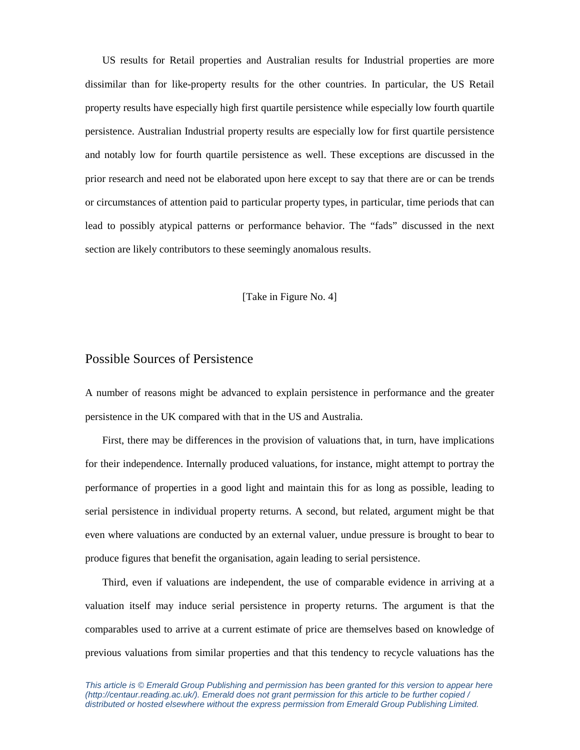US results for Retail properties and Australian results for Industrial properties are more dissimilar than for like-property results for the other countries. In particular, the US Retail property results have especially high first quartile persistence while especially low fourth quartile persistence. Australian Industrial property results are especially low for first quartile persistence and notably low for fourth quartile persistence as well. These exceptions are discussed in the prior research and need not be elaborated upon here except to say that there are or can be trends or circumstances of attention paid to particular property types, in particular, time periods that can lead to possibly atypical patterns or performance behavior. The "fads" discussed in the next section are likely contributors to these seemingly anomalous results.

#### [Take in Figure No. 4]

## Possible Sources of Persistence

A number of reasons might be advanced to explain persistence in performance and the greater persistence in the UK compared with that in the US and Australia.

First, there may be differences in the provision of valuations that, in turn, have implications for their independence. Internally produced valuations, for instance, might attempt to portray the performance of properties in a good light and maintain this for as long as possible, leading to serial persistence in individual property returns. A second, but related, argument might be that even where valuations are conducted by an external valuer, undue pressure is brought to bear to produce figures that benefit the organisation, again leading to serial persistence.

Third, even if valuations are independent, the use of comparable evidence in arriving at a valuation itself may induce serial persistence in property returns. The argument is that the comparables used to arrive at a current estimate of price are themselves based on knowledge of previous valuations from similar properties and that this tendency to recycle valuations has the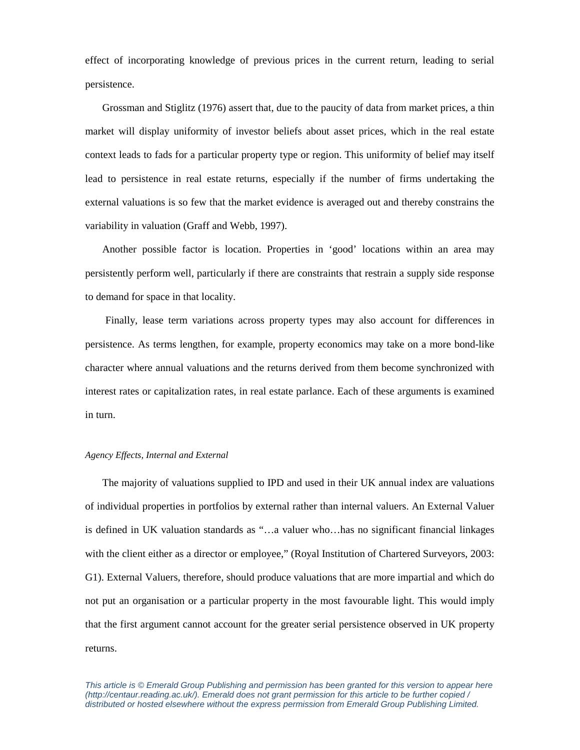effect of incorporating knowledge of previous prices in the current return, leading to serial persistence.

Grossman and Stiglitz (1976) assert that, due to the paucity of data from market prices, a thin market will display uniformity of investor beliefs about asset prices, which in the real estate context leads to fads for a particular property type or region. This uniformity of belief may itself lead to persistence in real estate returns, especially if the number of firms undertaking the external valuations is so few that the market evidence is averaged out and thereby constrains the variability in valuation (Graff and Webb, 1997).

Another possible factor is location. Properties in 'good' locations within an area may persistently perform well, particularly if there are constraints that restrain a supply side response to demand for space in that locality.

Finally, lease term variations across property types may also account for differences in persistence. As terms lengthen, for example, property economics may take on a more bond-like character where annual valuations and the returns derived from them become synchronized with interest rates or capitalization rates, in real estate parlance. Each of these arguments is examined in turn.

#### *Agency Effects, Internal and External*

The majority of valuations supplied to IPD and used in their UK annual index are valuations of individual properties in portfolios by external rather than internal valuers. An External Valuer is defined in UK valuation standards as "…a valuer who…has no significant financial linkages with the client either as a director or employee," (Royal Institution of Chartered Surveyors, 2003: G1). External Valuers, therefore, should produce valuations that are more impartial and which do not put an organisation or a particular property in the most favourable light. This would imply that the first argument cannot account for the greater serial persistence observed in UK property returns.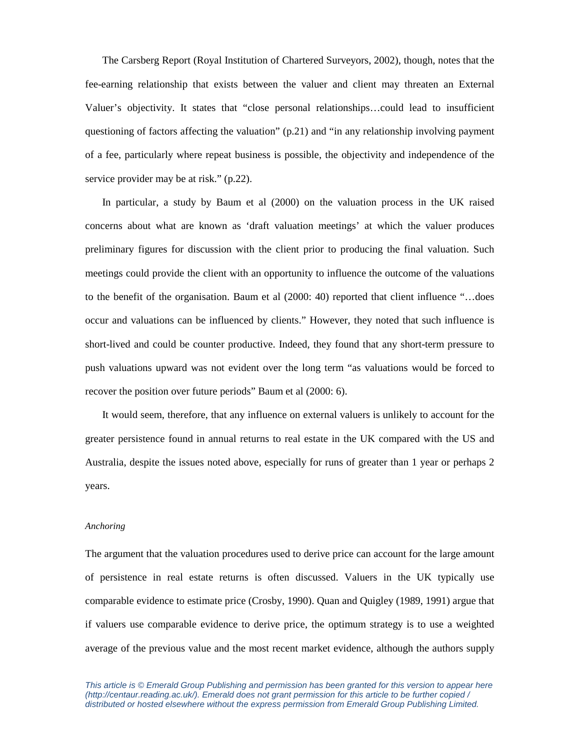The Carsberg Report (Royal Institution of Chartered Surveyors, 2002), though, notes that the fee-earning relationship that exists between the valuer and client may threaten an External Valuer's objectivity. It states that "close personal relationships…could lead to insufficient questioning of factors affecting the valuation" (p.21) and "in any relationship involving payment of a fee, particularly where repeat business is possible, the objectivity and independence of the service provider may be at risk." (p.22).

In particular, a study by Baum et al (2000) on the valuation process in the UK raised concerns about what are known as 'draft valuation meetings' at which the valuer produces preliminary figures for discussion with the client prior to producing the final valuation. Such meetings could provide the client with an opportunity to influence the outcome of the valuations to the benefit of the organisation. Baum et al (2000: 40) reported that client influence "…does occur and valuations can be influenced by clients." However, they noted that such influence is short-lived and could be counter productive. Indeed, they found that any short-term pressure to push valuations upward was not evident over the long term "as valuations would be forced to recover the position over future periods" Baum et al (2000: 6).

It would seem, therefore, that any influence on external valuers is unlikely to account for the greater persistence found in annual returns to real estate in the UK compared with the US and Australia, despite the issues noted above, especially for runs of greater than 1 year or perhaps 2 years.

#### *Anchoring*

The argument that the valuation procedures used to derive price can account for the large amount of persistence in real estate returns is often discussed. Valuers in the UK typically use comparable evidence to estimate price (Crosby, 1990). Quan and Quigley (1989, 1991) argue that if valuers use comparable evidence to derive price, the optimum strategy is to use a weighted average of the previous value and the most recent market evidence, although the authors supply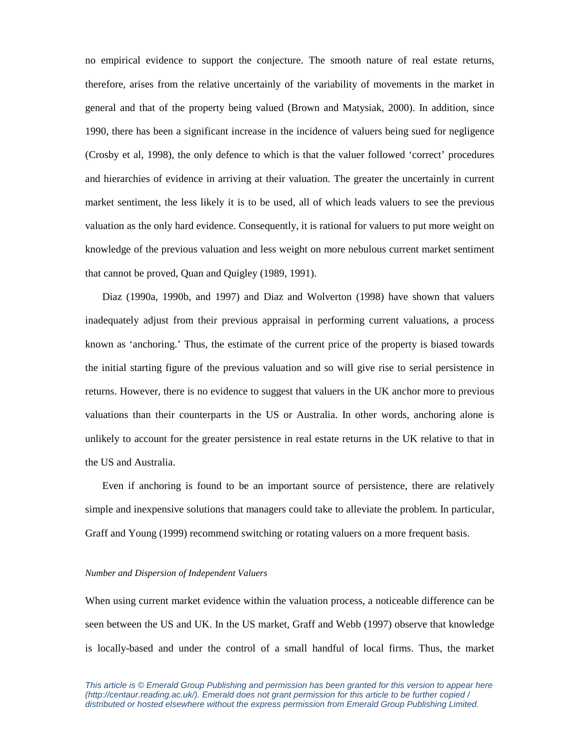no empirical evidence to support the conjecture. The smooth nature of real estate returns, therefore, arises from the relative uncertainly of the variability of movements in the market in general and that of the property being valued (Brown and Matysiak, 2000). In addition, since 1990, there has been a significant increase in the incidence of valuers being sued for negligence (Crosby et al, 1998), the only defence to which is that the valuer followed 'correct' procedures and hierarchies of evidence in arriving at their valuation. The greater the uncertainly in current market sentiment, the less likely it is to be used, all of which leads valuers to see the previous valuation as the only hard evidence. Consequently, it is rational for valuers to put more weight on knowledge of the previous valuation and less weight on more nebulous current market sentiment that cannot be proved, Quan and Quigley (1989, 1991).

Diaz (1990a, 1990b, and 1997) and Diaz and Wolverton (1998) have shown that valuers inadequately adjust from their previous appraisal in performing current valuations, a process known as 'anchoring.' Thus, the estimate of the current price of the property is biased towards the initial starting figure of the previous valuation and so will give rise to serial persistence in returns. However, there is no evidence to suggest that valuers in the UK anchor more to previous valuations than their counterparts in the US or Australia. In other words, anchoring alone is unlikely to account for the greater persistence in real estate returns in the UK relative to that in the US and Australia.

Even if anchoring is found to be an important source of persistence, there are relatively simple and inexpensive solutions that managers could take to alleviate the problem. In particular, Graff and Young (1999) recommend switching or rotating valuers on a more frequent basis.

#### *Number and Dispersion of Independent Valuers*

When using current market evidence within the valuation process, a noticeable difference can be seen between the US and UK. In the US market, Graff and Webb (1997) observe that knowledge is locally-based and under the control of a small handful of local firms. Thus, the market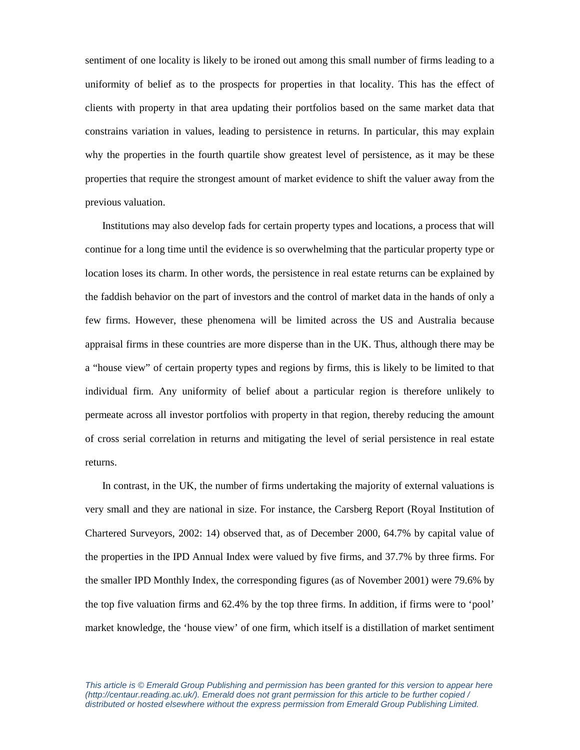sentiment of one locality is likely to be ironed out among this small number of firms leading to a uniformity of belief as to the prospects for properties in that locality. This has the effect of clients with property in that area updating their portfolios based on the same market data that constrains variation in values, leading to persistence in returns. In particular, this may explain why the properties in the fourth quartile show greatest level of persistence, as it may be these properties that require the strongest amount of market evidence to shift the valuer away from the previous valuation.

Institutions may also develop fads for certain property types and locations, a process that will continue for a long time until the evidence is so overwhelming that the particular property type or location loses its charm. In other words, the persistence in real estate returns can be explained by the faddish behavior on the part of investors and the control of market data in the hands of only a few firms. However, these phenomena will be limited across the US and Australia because appraisal firms in these countries are more disperse than in the UK. Thus, although there may be a "house view" of certain property types and regions by firms, this is likely to be limited to that individual firm. Any uniformity of belief about a particular region is therefore unlikely to permeate across all investor portfolios with property in that region, thereby reducing the amount of cross serial correlation in returns and mitigating the level of serial persistence in real estate returns.

In contrast, in the UK, the number of firms undertaking the majority of external valuations is very small and they are national in size. For instance, the Carsberg Report (Royal Institution of Chartered Surveyors, 2002: 14) observed that, as of December 2000, 64.7% by capital value of the properties in the IPD Annual Index were valued by five firms, and 37.7% by three firms. For the smaller IPD Monthly Index, the corresponding figures (as of November 2001) were 79.6% by the top five valuation firms and 62.4% by the top three firms. In addition, if firms were to 'pool' market knowledge, the 'house view' of one firm, which itself is a distillation of market sentiment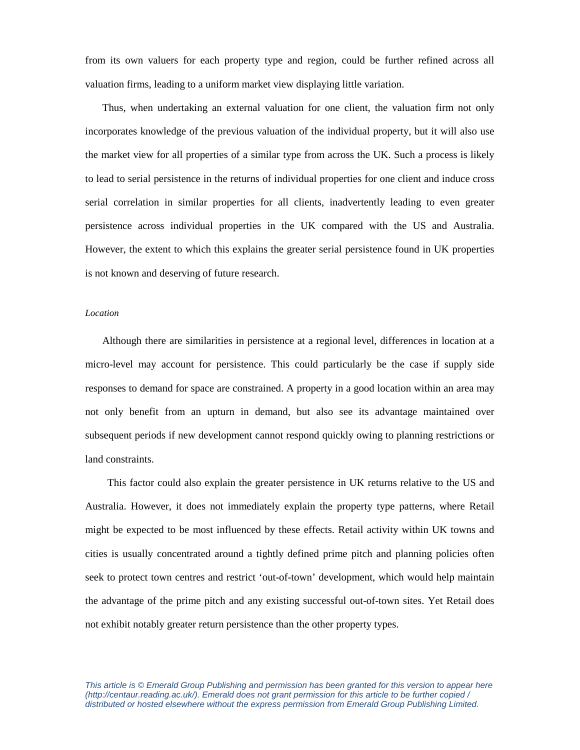from its own valuers for each property type and region, could be further refined across all valuation firms, leading to a uniform market view displaying little variation.

Thus, when undertaking an external valuation for one client, the valuation firm not only incorporates knowledge of the previous valuation of the individual property, but it will also use the market view for all properties of a similar type from across the UK. Such a process is likely to lead to serial persistence in the returns of individual properties for one client and induce cross serial correlation in similar properties for all clients, inadvertently leading to even greater persistence across individual properties in the UK compared with the US and Australia. However, the extent to which this explains the greater serial persistence found in UK properties is not known and deserving of future research.

#### *Location*

Although there are similarities in persistence at a regional level, differences in location at a micro-level may account for persistence. This could particularly be the case if supply side responses to demand for space are constrained. A property in a good location within an area may not only benefit from an upturn in demand, but also see its advantage maintained over subsequent periods if new development cannot respond quickly owing to planning restrictions or land constraints.

 This factor could also explain the greater persistence in UK returns relative to the US and Australia. However, it does not immediately explain the property type patterns, where Retail might be expected to be most influenced by these effects. Retail activity within UK towns and cities is usually concentrated around a tightly defined prime pitch and planning policies often seek to protect town centres and restrict 'out-of-town' development, which would help maintain the advantage of the prime pitch and any existing successful out-of-town sites. Yet Retail does not exhibit notably greater return persistence than the other property types.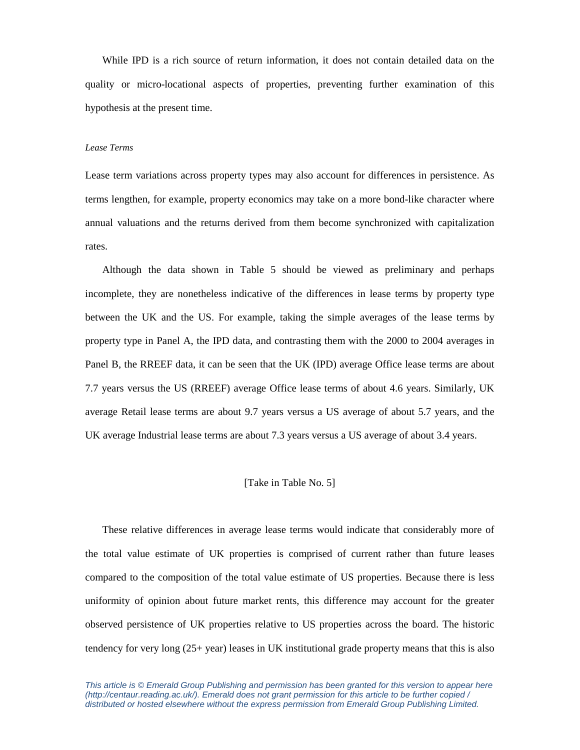While IPD is a rich source of return information, it does not contain detailed data on the quality or micro-locational aspects of properties, preventing further examination of this hypothesis at the present time.

#### *Lease Terms*

Lease term variations across property types may also account for differences in persistence. As terms lengthen, for example, property economics may take on a more bond-like character where annual valuations and the returns derived from them become synchronized with capitalization rates.

Although the data shown in Table 5 should be viewed as preliminary and perhaps incomplete, they are nonetheless indicative of the differences in lease terms by property type between the UK and the US. For example, taking the simple averages of the lease terms by property type in Panel A, the IPD data, and contrasting them with the 2000 to 2004 averages in Panel B, the RREEF data, it can be seen that the UK (IPD) average Office lease terms are about 7.7 years versus the US (RREEF) average Office lease terms of about 4.6 years. Similarly, UK average Retail lease terms are about 9.7 years versus a US average of about 5.7 years, and the UK average Industrial lease terms are about 7.3 years versus a US average of about 3.4 years.

#### [Take in Table No. 5]

These relative differences in average lease terms would indicate that considerably more of the total value estimate of UK properties is comprised of current rather than future leases compared to the composition of the total value estimate of US properties. Because there is less uniformity of opinion about future market rents, this difference may account for the greater observed persistence of UK properties relative to US properties across the board. The historic tendency for very long (25+ year) leases in UK institutional grade property means that this is also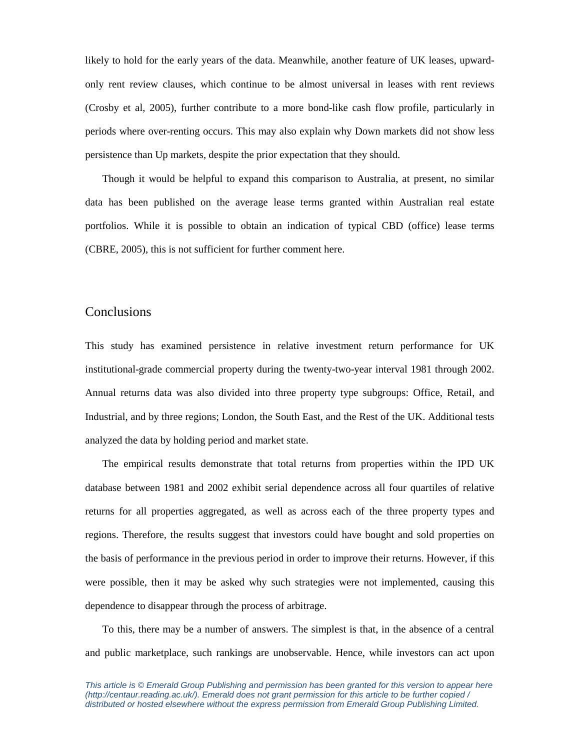likely to hold for the early years of the data. Meanwhile, another feature of UK leases, upwardonly rent review clauses, which continue to be almost universal in leases with rent reviews (Crosby et al, 2005), further contribute to a more bond-like cash flow profile, particularly in periods where over-renting occurs. This may also explain why Down markets did not show less persistence than Up markets, despite the prior expectation that they should.

Though it would be helpful to expand this comparison to Australia, at present, no similar data has been published on the average lease terms granted within Australian real estate portfolios. While it is possible to obtain an indication of typical CBD (office) lease terms (CBRE, 2005), this is not sufficient for further comment here.

## **Conclusions**

This study has examined persistence in relative investment return performance for UK institutional-grade commercial property during the twenty-two-year interval 1981 through 2002. Annual returns data was also divided into three property type subgroups: Office, Retail, and Industrial, and by three regions; London, the South East, and the Rest of the UK. Additional tests analyzed the data by holding period and market state.

The empirical results demonstrate that total returns from properties within the IPD UK database between 1981 and 2002 exhibit serial dependence across all four quartiles of relative returns for all properties aggregated, as well as across each of the three property types and regions. Therefore, the results suggest that investors could have bought and sold properties on the basis of performance in the previous period in order to improve their returns. However, if this were possible, then it may be asked why such strategies were not implemented, causing this dependence to disappear through the process of arbitrage.

To this, there may be a number of answers. The simplest is that, in the absence of a central and public marketplace, such rankings are unobservable. Hence, while investors can act upon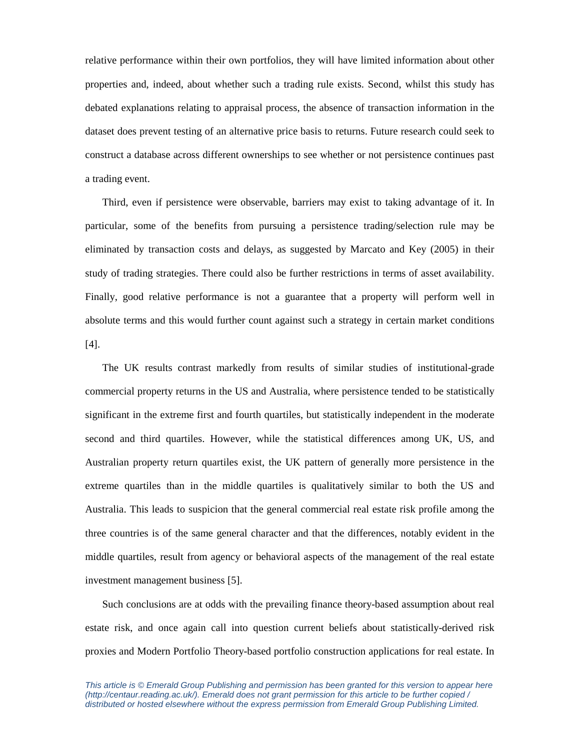relative performance within their own portfolios, they will have limited information about other properties and, indeed, about whether such a trading rule exists. Second, whilst this study has debated explanations relating to appraisal process, the absence of transaction information in the dataset does prevent testing of an alternative price basis to returns. Future research could seek to construct a database across different ownerships to see whether or not persistence continues past a trading event.

Third, even if persistence were observable, barriers may exist to taking advantage of it. In particular, some of the benefits from pursuing a persistence trading/selection rule may be eliminated by transaction costs and delays, as suggested by Marcato and Key (2005) in their study of trading strategies. There could also be further restrictions in terms of asset availability. Finally, good relative performance is not a guarantee that a property will perform well in absolute terms and this would further count against such a strategy in certain market conditions [4].

The UK results contrast markedly from results of similar studies of institutional-grade commercial property returns in the US and Australia, where persistence tended to be statistically significant in the extreme first and fourth quartiles, but statistically independent in the moderate second and third quartiles. However, while the statistical differences among UK, US, and Australian property return quartiles exist, the UK pattern of generally more persistence in the extreme quartiles than in the middle quartiles is qualitatively similar to both the US and Australia. This leads to suspicion that the general commercial real estate risk profile among the three countries is of the same general character and that the differences, notably evident in the middle quartiles, result from agency or behavioral aspects of the management of the real estate investment management business [5].

Such conclusions are at odds with the prevailing finance theory-based assumption about real estate risk, and once again call into question current beliefs about statistically-derived risk proxies and Modern Portfolio Theory-based portfolio construction applications for real estate. In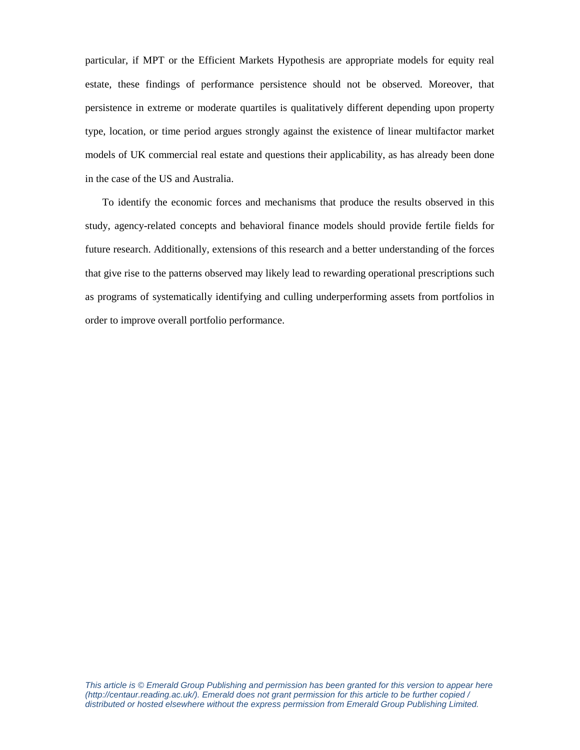particular, if MPT or the Efficient Markets Hypothesis are appropriate models for equity real estate, these findings of performance persistence should not be observed. Moreover, that persistence in extreme or moderate quartiles is qualitatively different depending upon property type, location, or time period argues strongly against the existence of linear multifactor market models of UK commercial real estate and questions their applicability, as has already been done in the case of the US and Australia.

To identify the economic forces and mechanisms that produce the results observed in this study, agency-related concepts and behavioral finance models should provide fertile fields for future research. Additionally, extensions of this research and a better understanding of the forces that give rise to the patterns observed may likely lead to rewarding operational prescriptions such as programs of systematically identifying and culling underperforming assets from portfolios in order to improve overall portfolio performance.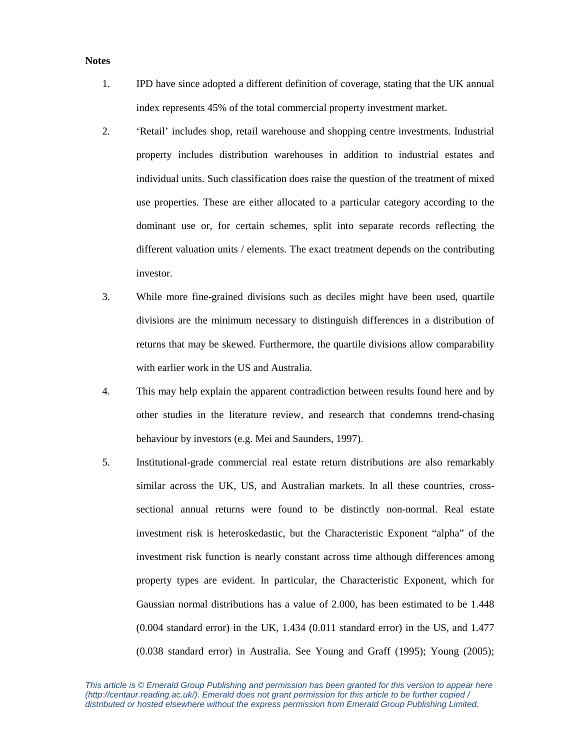#### **Notes**

- 1. IPD have since adopted a different definition of coverage, stating that the UK annual index represents 45% of the total commercial property investment market.
- 2. 'Retail' includes shop, retail warehouse and shopping centre investments. Industrial property includes distribution warehouses in addition to industrial estates and individual units. Such classification does raise the question of the treatment of mixed use properties. These are either allocated to a particular category according to the dominant use or, for certain schemes, split into separate records reflecting the different valuation units / elements. The exact treatment depends on the contributing investor.
- 3. While more fine-grained divisions such as deciles might have been used, quartile divisions are the minimum necessary to distinguish differences in a distribution of returns that may be skewed. Furthermore, the quartile divisions allow comparability with earlier work in the US and Australia.
- 4. This may help explain the apparent contradiction between results found here and by other studies in the literature review, and research that condemns trend-chasing behaviour by investors (e.g. Mei and Saunders, 1997).
- 5. Institutional-grade commercial real estate return distributions are also remarkably similar across the UK, US, and Australian markets. In all these countries, crosssectional annual returns were found to be distinctly non-normal. Real estate investment risk is heteroskedastic, but the Characteristic Exponent "alpha" of the investment risk function is nearly constant across time although differences among property types are evident. In particular, the Characteristic Exponent, which for Gaussian normal distributions has a value of 2.000, has been estimated to be 1.448 (0.004 standard error) in the UK, 1.434 (0.011 standard error) in the US, and 1.477 (0.038 standard error) in Australia. See Young and Graff (1995); Young (2005);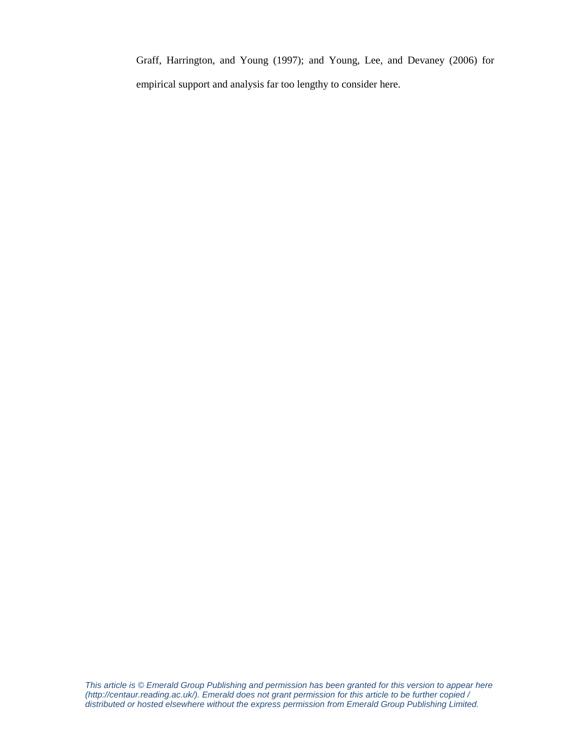Graff, Harrington, and Young (1997); and Young, Lee, and Devaney (2006) for empirical support and analysis far too lengthy to consider here.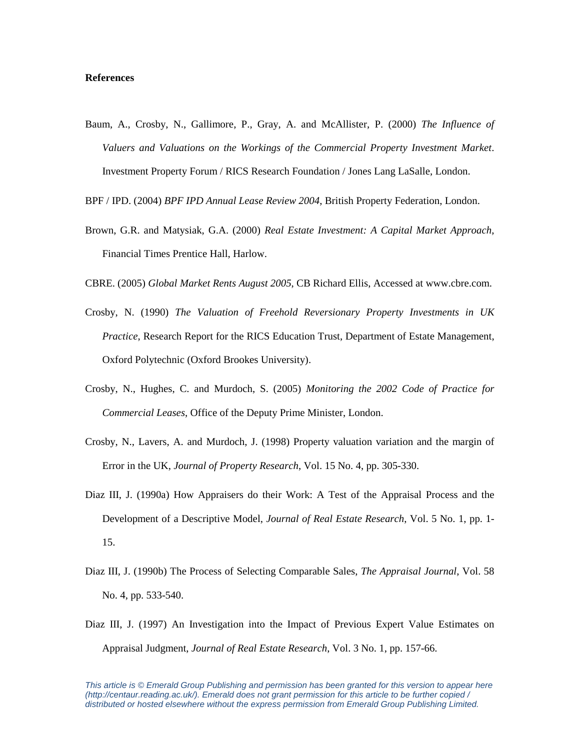#### **References**

Baum, A., Crosby, N., Gallimore, P., Gray, A. and McAllister, P. (2000) *The Influence of Valuers and Valuations on the Workings of the Commercial Property Investment Market*. Investment Property Forum / RICS Research Foundation / Jones Lang LaSalle, London.

BPF / IPD. (2004) *BPF IPD Annual Lease Review 2004*, British Property Federation, London.

Brown, G.R. and Matysiak, G.A. (2000) *Real Estate Investment: A Capital Market Approach*, Financial Times Prentice Hall, Harlow.

CBRE. (2005) *Global Market Rents August 2005*, CB Richard Ellis, Accessed at www.cbre.com.

- Crosby, N. (1990) *The Valuation of Freehold Reversionary Property Investments in UK Practice*, Research Report for the RICS Education Trust, Department of Estate Management, Oxford Polytechnic (Oxford Brookes University).
- Crosby, N., Hughes, C. and Murdoch, S. (2005) *Monitoring the 2002 Code of Practice for Commercial Leases*, Office of the Deputy Prime Minister, London.
- Crosby, N., Lavers, A. and Murdoch, J. (1998) Property valuation variation and the margin of Error in the UK, *Journal of Property Research*, Vol. 15 No. 4, pp. 305-330.
- Diaz III, J. (1990a) How Appraisers do their Work: A Test of the Appraisal Process and the Development of a Descriptive Model, *Journal of Real Estate Research*, Vol. 5 No. 1, pp. 1- 15.
- Diaz III, J. (1990b) The Process of Selecting Comparable Sales, *The Appraisal Journal*, Vol. 58 No. 4, pp. 533-540.
- Diaz III, J. (1997) An Investigation into the Impact of Previous Expert Value Estimates on Appraisal Judgment, *Journal of Real Estate Research*, Vol. 3 No. 1, pp. 157-66.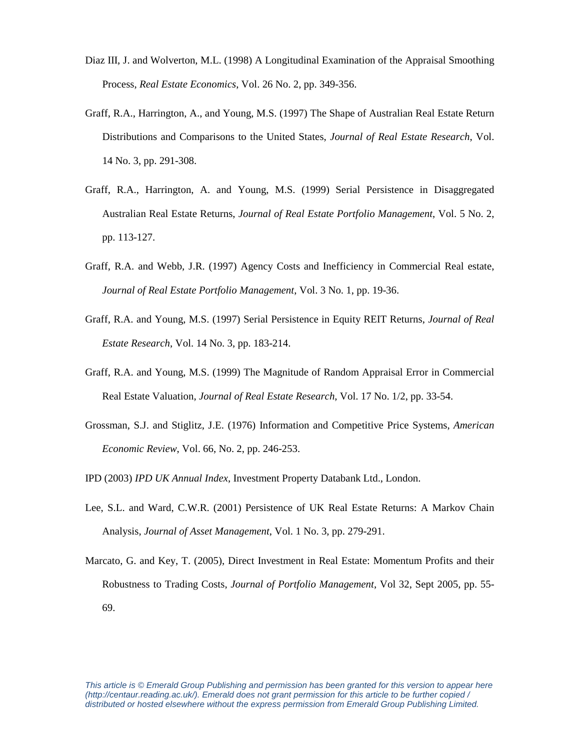- Diaz III, J. and Wolverton, M.L. (1998) A Longitudinal Examination of the Appraisal Smoothing Process, *Real Estate Economics*, Vol. 26 No. 2, pp. 349-356.
- Graff, R.A., Harrington, A., and Young, M.S. (1997) The Shape of Australian Real Estate Return Distributions and Comparisons to the United States, *Journal of Real Estate Research*, Vol. 14 No. 3, pp. 291-308.
- Graff, R.A., Harrington, A. and Young, M.S. (1999) Serial Persistence in Disaggregated Australian Real Estate Returns, *Journal of Real Estate Portfolio Management*, Vol. 5 No. 2, pp. 113-127.
- Graff, R.A. and Webb, J.R. (1997) Agency Costs and Inefficiency in Commercial Real estate, *Journal of Real Estate Portfolio Management*, Vol. 3 No. 1, pp. 19-36.
- Graff, R.A. and Young, M.S. (1997) Serial Persistence in Equity REIT Returns, *Journal of Real Estate Research*, Vol. 14 No. 3, pp. 183-214.
- Graff, R.A. and Young, M.S. (1999) The Magnitude of Random Appraisal Error in Commercial Real Estate Valuation, *Journal of Real Estate Research*, Vol. 17 No. 1/2, pp. 33-54.
- Grossman, S.J. and Stiglitz, J.E. (1976) Information and Competitive Price Systems, *American Economic Review*, Vol. 66, No. 2, pp. 246-253.
- IPD (2003) *IPD UK Annual Index*, Investment Property Databank Ltd., London.
- Lee, S.L. and Ward, C.W.R. (2001) Persistence of UK Real Estate Returns: A Markov Chain Analysis, *Journal of Asset Management*, Vol. 1 No. 3, pp. 279-291.
- Marcato, G. and Key, T. (2005), Direct Investment in Real Estate: Momentum Profits and their Robustness to Trading Costs, *Journal of Portfolio Management*, Vol 32, Sept 2005, pp. 55- 69.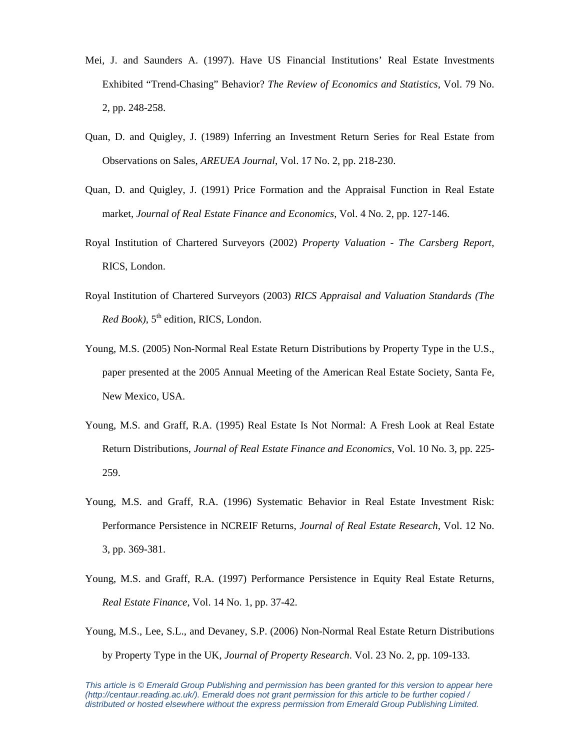- Mei, J. and Saunders A. (1997). Have US Financial Institutions' Real Estate Investments Exhibited "Trend-Chasing" Behavior? *The Review of Economics and Statistics*, Vol. 79 No. 2, pp. 248-258.
- Quan, D. and Quigley, J. (1989) Inferring an Investment Return Series for Real Estate from Observations on Sales, *AREUEA Journal*, Vol. 17 No. 2, pp. 218-230.
- Quan, D. and Quigley, J. (1991) Price Formation and the Appraisal Function in Real Estate market, *Journal of Real Estate Finance and Economics*, Vol. 4 No. 2, pp. 127-146.
- Royal Institution of Chartered Surveyors (2002) *Property Valuation - The Carsberg Report*, RICS, London.
- Royal Institution of Chartered Surveyors (2003) *RICS Appraisal and Valuation Standards (The Red Book*), 5<sup>th</sup> edition, RICS, London.
- Young, M.S. (2005) Non-Normal Real Estate Return Distributions by Property Type in the U.S., paper presented at the 2005 Annual Meeting of the American Real Estate Society, Santa Fe, New Mexico, USA.
- Young, M.S. and Graff, R.A. (1995) Real Estate Is Not Normal: A Fresh Look at Real Estate Return Distributions, *Journal of Real Estate Finance and Economics*, Vol. 10 No. 3, pp. 225- 259.
- Young, M.S. and Graff, R.A. (1996) Systematic Behavior in Real Estate Investment Risk: Performance Persistence in NCREIF Returns, *Journal of Real Estate Research*, Vol. 12 No. 3, pp. 369-381.
- Young, M.S. and Graff, R.A. (1997) Performance Persistence in Equity Real Estate Returns, *Real Estate Finance*, Vol. 14 No. 1, pp. 37-42.
- Young, M.S., Lee, S.L., and Devaney, S.P. (2006) Non-Normal Real Estate Return Distributions by Property Type in the UK, *Journal of Property Research*. Vol. 23 No. 2, pp. 109-133.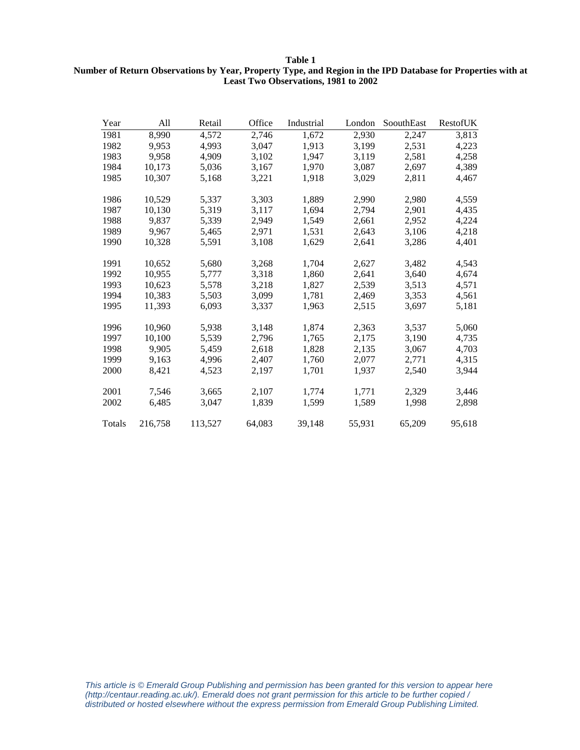#### **Table 1 Number of Return Observations by Year, Property Type, and Region in the IPD Database for Properties with at Least Two Observations, 1981 to 2002**

| Year   | All     | Retail  | Office | Industrial | London | SoouthEast | <b>RestofUK</b> |
|--------|---------|---------|--------|------------|--------|------------|-----------------|
| 1981   | 8.990   | 4,572   | 2,746  | 1,672      | 2,930  | 2,247      | 3,813           |
| 1982   | 9,953   | 4,993   | 3,047  | 1,913      | 3,199  | 2,531      | 4,223           |
| 1983   | 9.958   | 4,909   | 3,102  | 1,947      | 3,119  | 2,581      | 4,258           |
| 1984   | 10,173  | 5,036   | 3,167  | 1,970      | 3,087  | 2,697      | 4,389           |
| 1985   | 10,307  | 5,168   | 3,221  | 1,918      | 3,029  | 2,811      | 4,467           |
|        |         |         |        |            |        |            |                 |
| 1986   | 10,529  | 5,337   | 3,303  | 1,889      | 2,990  | 2,980      | 4,559           |
| 1987   | 10,130  | 5,319   | 3,117  | 1,694      | 2,794  | 2,901      | 4,435           |
| 1988   | 9.837   | 5,339   | 2,949  | 1,549      | 2,661  | 2,952      | 4,224           |
| 1989   | 9,967   | 5,465   | 2,971  | 1,531      | 2,643  | 3,106      | 4,218           |
| 1990   | 10,328  | 5,591   | 3,108  | 1,629      | 2,641  | 3,286      | 4,401           |
|        |         |         |        |            |        |            |                 |
| 1991   | 10.652  | 5,680   | 3,268  | 1.704      | 2.627  | 3.482      | 4,543           |
| 1992   | 10,955  | 5,777   | 3,318  | 1,860      | 2,641  | 3,640      | 4,674           |
| 1993   | 10,623  | 5,578   | 3,218  | 1,827      | 2,539  | 3,513      | 4,571           |
| 1994   | 10,383  | 5,503   | 3,099  | 1,781      | 2,469  | 3,353      | 4,561           |
| 1995   | 11,393  | 6,093   | 3,337  | 1,963      | 2,515  | 3,697      | 5,181           |
|        |         |         |        |            |        |            |                 |
| 1996   | 10,960  | 5,938   | 3,148  | 1,874      | 2,363  | 3,537      | 5,060           |
| 1997   | 10,100  | 5,539   | 2,796  | 1,765      | 2,175  | 3,190      | 4,735           |
| 1998   | 9,905   | 5,459   | 2,618  | 1,828      | 2,135  | 3,067      | 4,703           |
| 1999   | 9,163   | 4,996   | 2,407  | 1,760      | 2,077  | 2,771      | 4,315           |
| 2000   | 8,421   | 4,523   | 2,197  | 1,701      | 1.937  | 2,540      | 3,944           |
|        |         |         |        |            |        |            |                 |
| 2001   | 7,546   | 3,665   | 2,107  | 1,774      | 1,771  | 2,329      | 3,446           |
| 2002   | 6,485   | 3.047   | 1,839  | 1,599      | 1,589  | 1,998      | 2,898           |
|        |         |         |        |            |        |            |                 |
| Totals | 216,758 | 113,527 | 64,083 | 39,148     | 55,931 | 65,209     | 95,618          |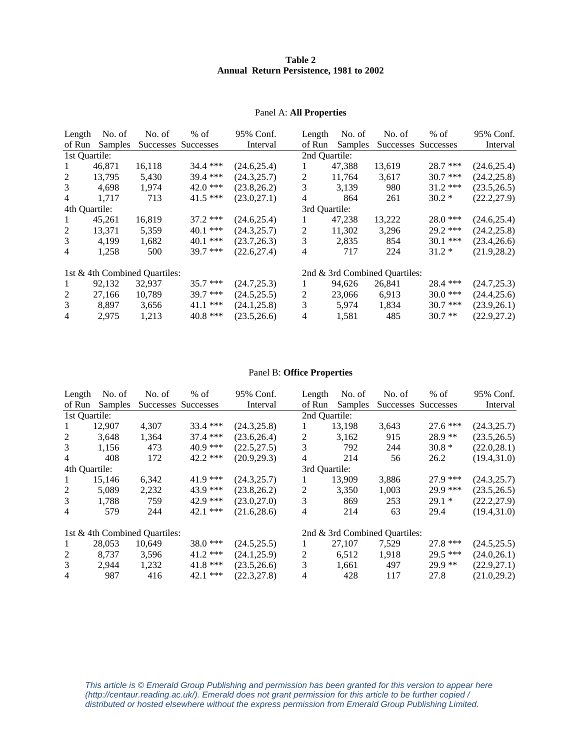#### **Table 2 Annual Return Persistence, 1981 to 2002**

#### Panel A: **All Properties**

| Length         | No. of  | No. of                        | $%$ of              | 95% Conf.    | Length        | No. of  | No. of                        | $%$ of     | 95% Conf.    |
|----------------|---------|-------------------------------|---------------------|--------------|---------------|---------|-------------------------------|------------|--------------|
| of Run         | Samples |                               | Successes Successes | Interval     | of Run        | Samples | Successes Successes           |            | Interval     |
| 1st Quartile:  |         |                               |                     |              | 2nd Quartile: |         |                               |            |              |
| $\mathbf{1}$   | 46,871  | 16,118                        | $34.4$ ***          | (24.6, 25.4) | 1             | 47,388  | 13,619                        | $28.7$ *** | (24.6, 25.4) |
| 2              | 13,795  | 5,430                         | $39.4$ ***          | (24.3, 25.7) | 2             | 11,764  | 3,617                         | $30.7$ *** | (24.2, 25.8) |
| 3              | 4,698   | 1,974                         | $42.0***$           | (23.8, 26.2) | 3             | 3,139   | 980                           | $31.2$ *** | (23.5, 26.5) |
| 4              | 1,717   | 713                           | $41.5***$           | (23.0, 27.1) | 4             | 864     | 261                           | $30.2*$    | (22.2, 27.9) |
| 4th Quartile:  |         |                               |                     |              | 3rd Quartile: |         |                               |            |              |
| 1              | 45,261  | 16,819                        | $37.2$ ***          | (24.6, 25.4) |               | 47,238  | 13,222                        | $28.0***$  | (24.6, 25.4) |
| 2              | 13,371  | 5,359                         | $40.1$ ***          | (24.3, 25.7) | 2             | 11,302  | 3,296                         | 29.2 ***   | (24.2, 25.8) |
| 3              | 4,199   | 1,682                         | $40.1$ ***          | (23.7, 26.3) | 3             | 2,835   | 854                           | $30.1$ *** | (23.4, 26.6) |
| 4              | 1,258   | 500                           | $39.7$ ***          | (22.6, 27.4) | 4             | 717     | 224                           | $31.2*$    | (21.9, 28.2) |
|                |         | 1st & 4th Combined Quartiles: |                     |              |               |         | 2nd & 3rd Combined Quartiles: |            |              |
| 1              | 92,132  | 32.937                        | $35.7***$           | (24.7, 25.3) | 1             | 94,626  | 26,841                        | 28.4 ***   | (24.7, 25.3) |
| 2              | 27,166  | 10,789                        | $39.7$ ***          | (24.5, 25.5) | 2             | 23,066  | 6,913                         | $30.0$ *** | (24.4, 25.6) |
| 3              | 8,897   | 3,656                         | $41.1$ ***          | (24.1, 25.8) | 3             | 5,974   | 1,834                         | $30.7$ *** | (23.9, 26.1) |
| $\overline{4}$ | 2,975   | 1,213                         | $40.8$ ***          | (23.5, 26.6) | 4             | 1,581   | 485                           | $30.7**$   | (22.9, 27.2) |

#### Panel B: **Office Properties**

| Length        | No. of  | No. of                        | $%$ of     | 95% Conf.    | Length        | No. of         | No. of                        | $%$ of              | 95% Conf.    |  |  |
|---------------|---------|-------------------------------|------------|--------------|---------------|----------------|-------------------------------|---------------------|--------------|--|--|
| of Run        | Samples | Successes Successes           |            | Interval     | of Run        | <b>Samples</b> |                               | Successes Successes | Interval     |  |  |
| 1st Quartile: |         |                               |            |              |               | 2nd Quartile:  |                               |                     |              |  |  |
| 1             | 12,907  | 4,307                         | $33.4$ *** | (24.3, 25.8) |               | 13,198         | 3,643                         | $27.6$ ***          | (24.3, 25.7) |  |  |
| 2             | 3,648   | 1,364                         | $37.4$ *** | (23.6, 26.4) | 2             | 3,162          | 915                           | $28.9**$            | (23.5, 26.5) |  |  |
| 3             | 1,156   | 473                           | $40.9$ *** | (22.5, 27.5) | 3             | 792            | 244                           | $30.8*$             | (22.0, 28.1) |  |  |
| 4             | 408     | 172                           | $42.2$ *** | (20.9, 29.3) | 4             | 214            | 56                            | 26.2                | (19.4, 31.0) |  |  |
| 4th Quartile: |         |                               |            |              | 3rd Ouartile: |                |                               |                     |              |  |  |
|               | 15,146  | 6,342                         | $41.9***$  | (24.3, 25.7) | 1             | 13,909         | 3,886                         | $27.9***$           | (24.3, 25.7) |  |  |
| 2             | 5,089   | 2,232                         | 43.9 ***   | (23.8, 26.2) | 2             | 3,350          | 1,003                         | 29.9 ***            | (23.5, 26.5) |  |  |
| 3             | 1,788   | 759                           | 42.9 ***   | (23.0, 27.0) | 3             | 869            | 253                           | $29.1*$             | (22.2, 27.9) |  |  |
| 4             | 579     | 244                           | $42.1$ *** | (21.6, 28.6) | 4             | 214            | 63                            | 29.4                | (19.4, 31.0) |  |  |
|               |         | 1st & 4th Combined Quartiles: |            |              |               |                | 2nd & 3rd Combined Quartiles: |                     |              |  |  |
| 1             | 28,053  | 10,649                        | $38.0***$  | (24.5, 25.5) |               | 27,107         | 7,529                         | $27.8$ ***          | (24.5, 25.5) |  |  |
| 2             | 8,737   | 3,596                         | $41.2$ *** | (24.1, 25.9) | 2             | 6,512          | 1,918                         | $29.5$ ***          | (24.0, 26.1) |  |  |
| 3             | 2,944   | 1,232                         | $41.8***$  | (23.5, 26.6) | 3             | 1,661          | 497                           | 29.9 **             | (22.9, 27.1) |  |  |
| 4             | 987     | 416                           | $42.1$ *** | (22.3.27.8)  | 4             | 428            | 117                           | 27.8                | (21.0, 29.2) |  |  |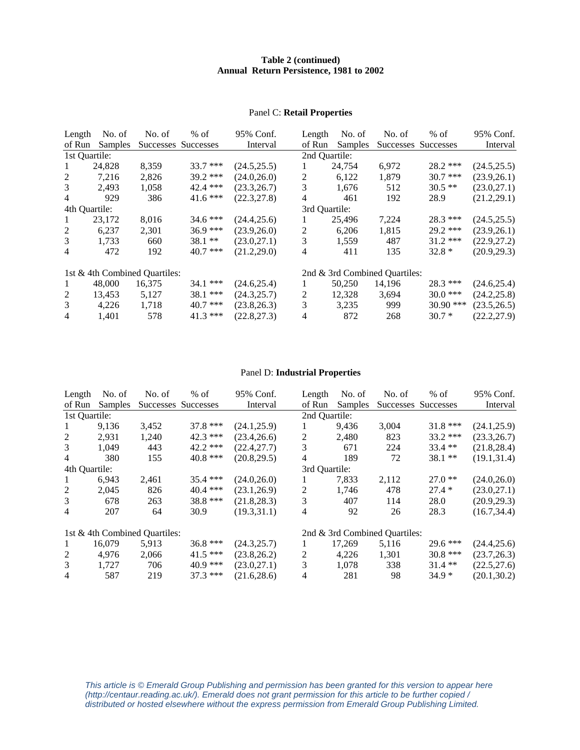#### **Table 2 (continued) Annual Return Persistence, 1981 to 2002**

|  |  |  | <b>Panel C: Retail Properties</b> |
|--|--|--|-----------------------------------|
|--|--|--|-----------------------------------|

| Length         | No. of  | No. of                        | $%$ of     | 95% Conf.    | Length        | No. of         | No. of                        | $%$ of     | 95% Conf.    |
|----------------|---------|-------------------------------|------------|--------------|---------------|----------------|-------------------------------|------------|--------------|
| of Run         | Samples | Successes Successes           |            | Interval     | of Run        | <b>Samples</b> | Successes Successes           |            | Interval     |
| 1st Quartile:  |         |                               |            |              | 2nd Quartile: |                |                               |            |              |
|                | 24.828  | 8,359                         | $33.7***$  | (24.5, 25.5) |               | 24.754         | 6,972                         | $28.2$ *** | (24.5, 25.5) |
| 2              | 7,216   | 2,826                         | $39.2$ *** | (24.0, 26.0) | 2             | 6,122          | 1,879                         | $30.7$ *** | (23.9, 26.1) |
| 3              | 2,493   | 1,058                         | 42.4 ***   | (23.3, 26.7) | 3             | 1,676          | 512                           | $30.5**$   | (23.0, 27.1) |
| 4              | 929     | 386                           | $41.6***$  | (22.3, 27.8) | 4             | 461            | 192                           | 28.9       | (21.2, 29.1) |
| 4th Quartile:  |         |                               |            |              | 3rd Quartile: |                |                               |            |              |
|                | 23,172  | 8,016                         | $34.6$ *** | (24.4, 25.6) |               | 25,496         | 7,224                         | $28.3***$  | (24.5, 25.5) |
| 2              | 6,237   | 2,301                         | $36.9***$  | (23.9, 26.0) | 2             | 6,206          | 1,815                         | $29.2$ *** | (23.9, 26.1) |
| 3              | 1,733   | 660                           | 38.1 **    | (23.0, 27.1) | 3             | 1,559          | 487                           | $31.2$ *** | (22.9, 27.2) |
| 4              | 472     | 192                           | $40.7$ *** | (21.2, 29.0) | 4             | 411            | 135                           | $32.8*$    | (20.9, 29.3) |
|                |         | 1st & 4th Combined Quartiles: |            |              |               |                | 2nd & 3rd Combined Quartiles: |            |              |
|                | 48,000  | 16,375                        | $34.1$ *** | (24.6, 25.4) |               | 50,250         | 14,196                        | 28.3 ***   | (24.6, 25.4) |
| 2              | 13,453  | 5.127                         | 38.1 ***   | (24.3, 25.7) | 2             | 12,328         | 3,694                         | $30.0$ *** | (24.2, 25.8) |
| 3              | 4,226   | 1,718                         | $40.7$ *** | (23.8, 26.3) | 3             | 3,235          | 999                           | 30.90 ***  | (23.5, 26.5) |
| $\overline{4}$ | 1,401   | 578                           | $41.3***$  | (22.8, 27.3) | 4             | 872            | 268                           | $30.7*$    | (22.2, 27.9) |

#### Panel D: **Industrial Properties**

| Length        | No. of         | No. of                        | $%$ of     | 95% Conf.    | Length         | No. of         | No. of                        | $%$ of              | 95% Conf.    |
|---------------|----------------|-------------------------------|------------|--------------|----------------|----------------|-------------------------------|---------------------|--------------|
| of Run        | <b>Samples</b> | Successes Successes           |            | Interval     | of Run         | <b>Samples</b> |                               | Successes Successes | Interval     |
| 1st Quartile: |                |                               |            |              | 2nd Quartile:  |                |                               |                     |              |
| 1             | 9.136          | 3,452                         | $37.8***$  | (24.1, 25.9) |                | 9.436          | 3,004                         | $31.8***$           | (24.1, 25.9) |
| 2             | 2,931          | 1,240                         | $42.3$ *** | (23.4, 26.6) | 2              | 2,480          | 823                           | $33.2$ ***          | (23.3, 26.7) |
| 3             | 1,049          | 443                           | $42.2$ *** | (22.4, 27.7) | 3              | 671            | 224                           | $33.4**$            | (21.8, 28.4) |
| 4             | 380            | 155                           | $40.8***$  | (20.8, 29.5) | 4              | 189            | 72                            | $38.1**$            | (19.1, 31.4) |
| 4th Quartile: |                |                               |            |              | 3rd Quartile:  |                |                               |                     |              |
| 1             | 6,943          | 2,461                         | $35.4$ *** | (24.0, 26.0) |                | 7,833          | 2,112                         | $27.0**$            | (24.0, 26.0) |
|               | 2.045          | 826                           | $40.4$ *** | (23.1, 26.9) | 2              | 1,746          | 478                           | $27.4*$             | (23.0, 27.1) |
| 3             | 678            | 263                           | 38.8 ***   | (21.8, 28.3) | 3              | 407            | 114                           | 28.0                | (20.9, 29.3) |
| 4             | 207            | 64                            | 30.9       | (19.3, 31.1) | $\overline{4}$ | 92             | 26                            | 28.3                | (16.7, 34.4) |
|               |                | 1st & 4th Combined Quartiles: |            |              |                |                | 2nd & 3rd Combined Quartiles: |                     |              |
| 1             | 16,079         | 5,913                         | $36.8$ *** | (24.3, 25.7) |                | 17,269         | 5,116                         | $29.6$ ***          | (24.4, 25.6) |
| 2             | 4,976          | 2,066                         | $41.5***$  | (23.8, 26.2) | 2              | 4,226          | 1,301                         | $30.8$ ***          | (23.7, 26.3) |
| 3             | 1,727          | 706                           | $40.9$ *** | (23.0, 27.1) | 3              | 1,078          | 338                           | $31.4$ **           | (22.5, 27.6) |
| 4             | 587            | 219                           | $37.3***$  | (21.6, 28.6) | $\overline{4}$ | 281            | 98                            | $34.9*$             | (20.1, 30.2) |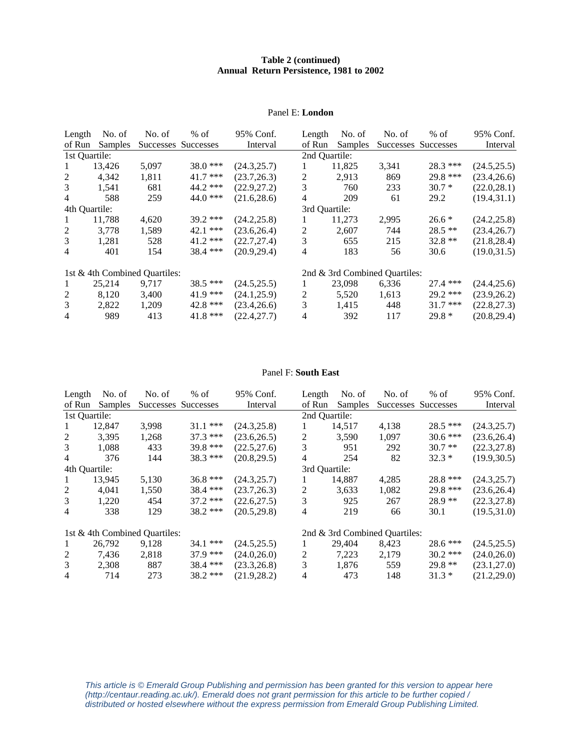#### **Table 2 (continued) Annual Return Persistence, 1981 to 2002**

#### Panel E: **London**

| Length         | No. of  | No. of                        | $%$ of              | 95% Conf.    | Length         | No. of         | No. of                        | $%$ of              | 95% Conf.    |
|----------------|---------|-------------------------------|---------------------|--------------|----------------|----------------|-------------------------------|---------------------|--------------|
| of Run         | Samples |                               | Successes Successes | Interval     | of Run         | <b>Samples</b> |                               | Successes Successes | Interval     |
| 1st Quartile:  |         |                               |                     |              | 2nd Quartile:  |                |                               |                     |              |
| $\mathbf{1}$   | 13,426  | 5,097                         | $38.0***$           | (24.3, 25.7) | 1              | 11,825         | 3,341                         | $28.3***$           | (24.5, 25.5) |
| 2              | 4,342   | 1,811                         | 41.7 ***            | (23.7, 26.3) | 2              | 2,913          | 869                           | 29.8 ***            | (23.4, 26.6) |
| 3              | 1,541   | 681                           | 44.2 ***            | (22.9, 27.2) | 3              | 760            | 233                           | $30.7*$             | (22.0, 28.1) |
| 4              | 588     | 259                           | $44.0***$           | (21.6, 28.6) | 4              | 209            | 61                            | 29.2                | (19.4, 31.1) |
| 4th Quartile:  |         |                               |                     |              | 3rd Quartile:  |                |                               |                     |              |
| 1              | 11,788  | 4,620                         | $39.2$ ***          | (24.2, 25.8) | 1              | 11,273         | 2,995                         | $26.6*$             | (24.2, 25.8) |
| 2              | 3,778   | 1,589                         | $42.1$ ***          | (23.6, 26.4) | 2              | 2,607          | 744                           | $28.5**$            | (23.4, 26.7) |
| 3              | 1,281   | 528                           | $41.2$ ***          | (22.7, 27.4) | 3              | 655            | 215                           | $32.8**$            | (21.8, 28.4) |
| 4              | 401     | 154                           | 38.4 ***            | (20.9, 29.4) | $\overline{4}$ | 183            | 56                            | 30.6                | (19.0, 31.5) |
|                |         | 1st & 4th Combined Quartiles: |                     |              |                |                | 2nd & 3rd Combined Quartiles: |                     |              |
| 1              | 25,214  | 9.717                         | $38.5***$           | (24.5, 25.5) | 1              | 23,098         | 6,336                         | $27.4$ ***          | (24.4, 25.6) |
| 2              | 8,120   | 3,400                         | $41.9***$           | (24.1, 25.9) | 2              | 5,520          | 1,613                         | 29.2 ***            | (23.9, 26.2) |
| 3              | 2,822   | 1,209                         | $42.8$ ***          | (23.4, 26.6) | 3              | 1,415          | 448                           | $31.7***$           | (22.8, 27.3) |
| $\overline{4}$ | 989     | 413                           | 41.8 ***            | (22.4, 27.7) | 4              | 392            | 117                           | $29.8*$             | (20.8, 29.4) |

#### Panel F: **South East**

| Length        | No. of         | No. of                        | $%$ of              | 95% Conf.    | Length        | No. of         | No. of                        | $%$ of              | 95% Conf.    |
|---------------|----------------|-------------------------------|---------------------|--------------|---------------|----------------|-------------------------------|---------------------|--------------|
| of Run        | <b>Samples</b> |                               | Successes Successes | Interval     | of Run        | <b>Samples</b> |                               | Successes Successes | Interval     |
| 1st Quartile: |                |                               |                     |              | 2nd Quartile: |                |                               |                     |              |
| 1             | 12.847         | 3,998                         | $31.1***$           | (24.3, 25.8) |               | 14.517         | 4,138                         | $28.5***$           | (24.3, 25.7) |
| 2             | 3,395          | 1,268                         | $37.3***$           | (23.6, 26.5) | 2             | 3,590          | 1,097                         | $30.6$ ***          | (23.6, 26.4) |
| 3             | 1.088          | 433                           | $39.8***$           | (22.5, 27.6) | 3             | 951            | 292                           | $30.7**$            | (22.3, 27.8) |
| 4             | 376            | 144                           | $38.3***$           | (20.8, 29.5) | 4             | 254            | 82                            | $32.3*$             | (19.9, 30.5) |
| 4th Quartile: |                |                               |                     |              | 3rd Quartile: |                |                               |                     |              |
| 1             | 13,945         | 5,130                         | $36.8$ ***          | (24.3, 25.7) |               | 14,887         | 4,285                         | 28.8 ***            | (24.3, 25.7) |
| 2             | 4,041          | 1,550                         | 38.4 ***            | (23.7, 26.3) | 2             | 3,633          | 1,082                         | 29.8 ***            | (23.6, 26.4) |
| 3             | 1,220          | 454                           | $37.2$ ***          | (22.6, 27.5) | 3             | 925            | 267                           | 28.9 **             | (22.3, 27.8) |
| 4             | 338            | 129                           | 38.2 ***            | (20.5, 29.8) | 4             | 219            | 66                            | 30.1                | (19.5, 31.0) |
|               |                | 1st & 4th Combined Quartiles: |                     |              |               |                | 2nd & 3rd Combined Quartiles: |                     |              |
| $\mathbf{1}$  | 26,792         | 9.128                         | $34.1$ ***          | (24.5, 25.5) |               | 29,404         | 8.423                         | $28.6***$           | (24.5, 25.5) |
| 2             | 7,436          | 2,818                         | $37.9***$           | (24.0, 26.0) | 2             | 7,223          | 2,179                         | $30.2$ ***          | (24.0, 26.0) |
| 3             | 2,308          | 887                           | 38.4 ***            | (23.3, 26.8) | 3             | 1,876          | 559                           | 29.8 **             | (23.1, 27.0) |
| 4             | 714            | 273                           | 38.2 ***            | (21.9, 28.2) | 4             | 473            | 148                           | $31.3*$             | (21.2, 29.0) |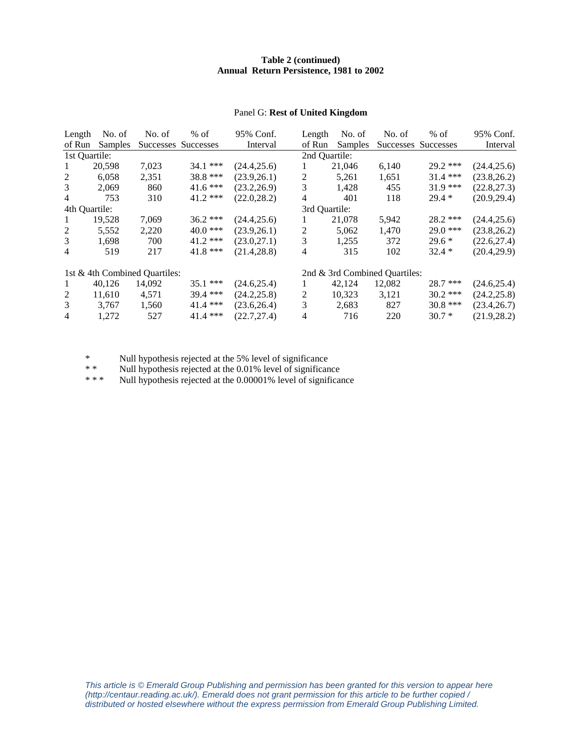#### **Table 2 (continued) Annual Return Persistence, 1981 to 2002**

|  |  |  | Panel G: Rest of United Kingdom |
|--|--|--|---------------------------------|
|--|--|--|---------------------------------|

| Length         | No. of  | No. of                        | $%$ of              | 95% Conf.    | Length         | No. of         | No. of                        | $%$ of              | 95% Conf.    |
|----------------|---------|-------------------------------|---------------------|--------------|----------------|----------------|-------------------------------|---------------------|--------------|
| of Run         | Samples |                               | Successes Successes | Interval     | of Run         | <b>Samples</b> |                               | Successes Successes | Interval     |
| 1st Quartile:  |         |                               |                     |              | 2nd Quartile:  |                |                               |                     |              |
|                | 20,598  | 7,023                         | $34.1***$           | (24.4, 25.6) |                | 21,046         | 6,140                         | $29.2$ ***          | (24.4, 25.6) |
| 2              | 6,058   | 2,351                         | 38.8 ***            | (23.9, 26.1) | 2              | 5,261          | 1,651                         | $31.4***$           | (23.8, 26.2) |
| 3              | 2,069   | 860                           | $41.6***$           | (23.2, 26.9) | 3              | 1,428          | 455                           | $31.9***$           | (22.8, 27.3) |
| 4              | 753     | 310                           | $41.2$ ***          | (22.0, 28.2) | 4              | 401            | 118                           | $29.4*$             | (20.9, 29.4) |
| 4th Quartile:  |         |                               |                     |              | 3rd Quartile:  |                |                               |                     |              |
| 1              | 19,528  | 7,069                         | $36.2$ ***          | (24.4, 25.6) |                | 21,078         | 5,942                         | $28.2$ ***          | (24.4, 25.6) |
| 2              | 5,552   | 2,220                         | $40.0$ ***          | (23.9, 26.1) | 2              | 5,062          | 1,470                         | $29.0$ ***          | (23.8, 26.2) |
| 3              | 1,698   | 700                           | $41.2***$           | (23.0, 27.1) | 3              | 1,255          | 372                           | $29.6*$             | (22.6, 27.4) |
| 4              | 519     | 217                           | $41.8***$           | (21.4, 28.8) | 4              | 315            | 102                           | $32.4*$             | (20.4, 29.9) |
|                |         | 1st & 4th Combined Quartiles: |                     |              |                |                | 2nd & 3rd Combined Quartiles: |                     |              |
| 1              | 40.126  | 14.092                        | $35.1$ ***          | (24.6, 25.4) |                | 42.124         | 12.082                        | $28.7$ ***          | (24.6, 25.4) |
| 2              | 11,610  | 4,571                         | $39.4$ ***          | (24.2, 25.8) | $\overline{2}$ | 10,323         | 3,121                         | $30.2$ ***          | (24.2, 25.8) |
| 3              | 3,767   | 1,560                         | $41.4$ ***          | (23.6, 26.4) | 3              | 2,683          | 827                           | $30.8$ ***          | (23.4, 26.7) |
| $\overline{4}$ | 1,272   | 527                           | $41.4$ ***          | (22.7, 27.4) | 4              | 716            | 220                           | $30.7*$             | (21.9, 28.2) |

\* Null hypothesis rejected at the 5% level of significance<br>\*\* Null hypothesis rejected at the 0.01% level of significan

\* \* Null hypothesis rejected at the 0.01% level of significance<br>\* \* \* Null hypothesis rejected at the 0.00001% level of significan

Null hypothesis rejected at the 0.00001% level of significance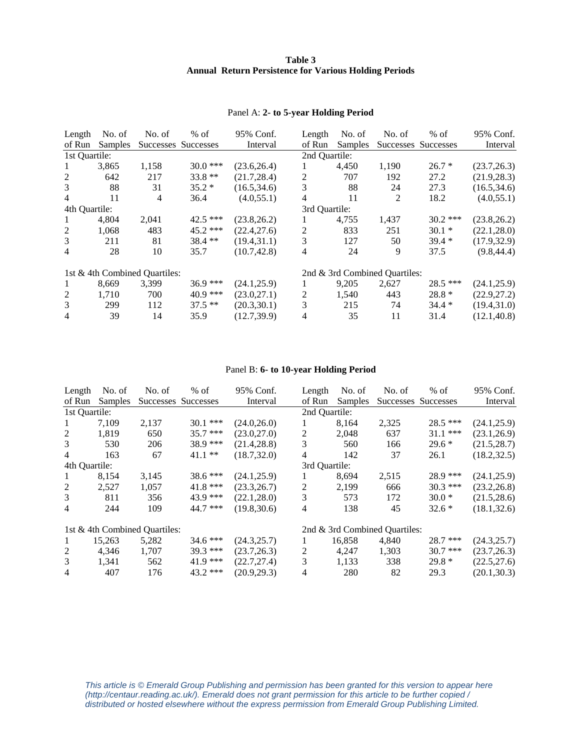#### **Table 3 Annual Return Persistence for Various Holding Periods**

| Length        | No. of  | No. of                        | $%$ of              | 95% Conf.    | Length         | No. of         | No. of                        | $%$ of     | 95% Conf.    |
|---------------|---------|-------------------------------|---------------------|--------------|----------------|----------------|-------------------------------|------------|--------------|
| of Run        | Samples |                               | Successes Successes | Interval     | of Run         | <b>Samples</b> | Successes Successes           |            | Interval     |
| 1st Quartile: |         |                               |                     |              | 2nd Quartile:  |                |                               |            |              |
|               | 3,865   | 1,158                         | $30.0$ ***          | (23.6, 26.4) |                | 4,450          | 1,190                         | $26.7*$    | (23.7, 26.3) |
| 2             | 642     | 217                           | $33.8**$            | (21.7, 28.4) | 2              | 707            | 192                           | 27.2       | (21.9, 28.3) |
| 3             | 88      | 31                            | $35.2*$             | (16.5, 34.6) | 3              | 88             | 24                            | 27.3       | (16.5, 34.6) |
| 4             | 11      | $\overline{4}$                | 36.4                | (4.0, 55.1)  | $\overline{4}$ | 11             | 2                             | 18.2       | (4.0, 55.1)  |
| 4th Quartile: |         |                               |                     |              | 3rd Quartile:  |                |                               |            |              |
|               | 4,804   | 2,041                         | $42.5$ ***          | (23.8, 26.2) |                | 4,755          | 1,437                         | $30.2$ *** | (23.8, 26.2) |
| 2             | 1,068   | 483                           | $45.2$ ***          | (22.4, 27.6) | 2              | 833            | 251                           | $30.1*$    | (22.1, 28.0) |
| 3             | 211     | 81                            | 38.4 **             | (19.4, 31.1) | 3              | 127            | 50                            | $39.4*$    | (17.9, 32.9) |
| 4             | 28      | 10                            | 35.7                | (10.7, 42.8) | $\overline{4}$ | 24             | 9                             | 37.5       | (9.8, 44.4)  |
|               |         | 1st & 4th Combined Quartiles: |                     |              |                |                | 2nd & 3rd Combined Quartiles: |            |              |
|               | 8,669   | 3,399                         | $36.9***$           | (24.1, 25.9) |                | 9,205          | 2,627                         | $28.5***$  | (24.1, 25.9) |
| 2             | 1,710   | 700                           | $40.9***$           | (23.0, 27.1) | 2              | 1,540          | 443                           | $28.8*$    | (22.9, 27.2) |
| 3             | 299     | 112                           | $37.5**$            | (20.3, 30.1) | 3              | 215            | 74                            | $34.4*$    | (19.4, 31.0) |
| 4             | 39      | 14                            | 35.9                | (12.7, 39.9) | 4              | 35             | 11                            | 31.4       | (12.1, 40.8) |

#### Panel A: **2- to 5-year Holding Period**

#### Panel B: **6- to 10-year Holding Period**

| Length        | No. of  | No. of                        | $%$ of              | 95% Conf.    | Length        | No. of         | No. of                        | $%$ of              | 95% Conf.    |
|---------------|---------|-------------------------------|---------------------|--------------|---------------|----------------|-------------------------------|---------------------|--------------|
| of Run        | Samples |                               | Successes Successes | Interval     | of Run        | <b>Samples</b> |                               | Successes Successes | Interval     |
| 1st Quartile: |         |                               |                     |              | 2nd Quartile: |                |                               |                     |              |
| 1             | 7,109   | 2,137                         | $30.1$ ***          | (24.0, 26.0) |               | 8,164          | 2,325                         | $28.5***$           | (24.1, 25.9) |
| 2             | 1,819   | 650                           | $35.7$ ***          | (23.0, 27.0) | 2             | 2,048          | 637                           | $31.1***$           | (23.1, 26.9) |
| 3             | 530     | 206                           | 38.9 ***            | (21.4, 28.8) | 3             | 560            | 166                           | $29.6*$             | (21.5, 28.7) |
| 4             | 163     | 67                            | $41.1$ **           | (18.7, 32.0) | 4             | 142            | 37                            | 26.1                | (18.2, 32.5) |
| 4th Quartile: |         |                               |                     |              | 3rd Quartile: |                |                               |                     |              |
| 1             | 8,154   | 3,145                         | $38.6***$           | (24.1, 25.9) |               | 8,694          | 2,515                         | 28.9 ***            | (24.1, 25.9) |
| 2             | 2,527   | 1,057                         | $41.8***$           | (23.3, 26.7) | 2             | 2,199          | 666                           | $30.3***$           | (23.2, 26.8) |
| 3             | 811     | 356                           | 43.9 ***            | (22.1, 28.0) | 3             | 573            | 172                           | $30.0*$             | (21.5, 28.6) |
| 4             | 244     | 109                           | $44.7$ ***          | (19.8, 30.6) | 4             | 138            | 45                            | $32.6*$             | (18.1, 32.6) |
|               |         | 1st & 4th Combined Quartiles: |                     |              |               |                | 2nd & 3rd Combined Quartiles: |                     |              |
| 1             | 15,263  | 5,282                         | $34.6***$           | (24.3, 25.7) |               | 16,858         | 4.840                         | $28.7$ ***          | (24.3, 25.7) |
| 2             | 4.346   | 1.707                         | $39.3***$           | (23.7, 26.3) | 2             | 4.247          | 1,303                         | $30.7$ ***          | (23.7, 26.3) |
| 3             | 1.341   | 562                           | $41.9***$           | (22.7, 27.4) | 3             | 1,133          | 338                           | $29.8*$             | (22.5, 27.6) |
| 4             | 407     | 176                           | 43.2 ***            | (20.9, 29.3) | 4             | 280            | 82                            | 29.3                | (20.1, 30.3) |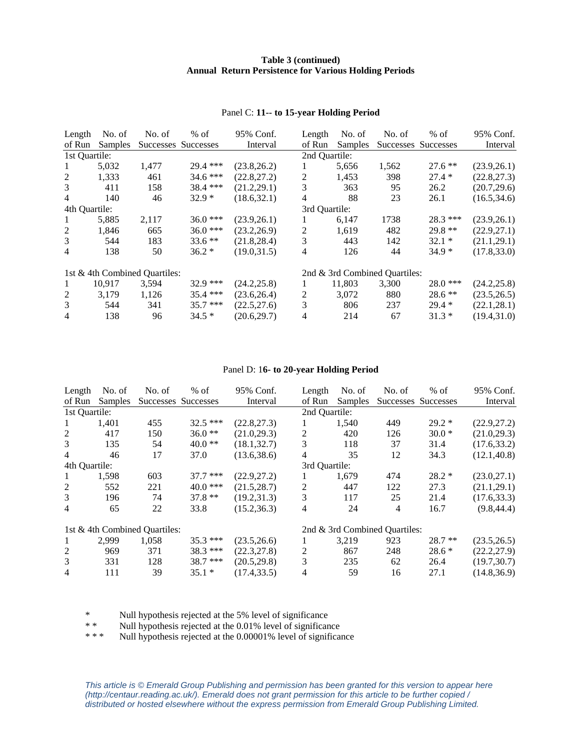#### **Table 3 (continued) Annual Return Persistence for Various Holding Periods**

| Length         | No. of         | No. of                        | $%$ of              | 95% Conf.    | Length         | No. of                        | No. of | $%$ of              | 95% Conf.    |  |  |
|----------------|----------------|-------------------------------|---------------------|--------------|----------------|-------------------------------|--------|---------------------|--------------|--|--|
| of Run         | <b>Samples</b> |                               | Successes Successes | Interval     | of Run         | <b>Samples</b>                |        | Successes Successes | Interval     |  |  |
| 1st Quartile:  |                |                               |                     |              | 2nd Quartile:  |                               |        |                     |              |  |  |
|                | 5,032          | 1,477                         | $29.4$ ***          | (23.8, 26.2) |                | 5,656                         | 1,562  | $27.6$ **           | (23.9, 26.1) |  |  |
| 2              | 1,333          | 461                           | $34.6$ ***          | (22.8, 27.2) | 2              | 1,453                         | 398    | $27.4*$             | (22.8, 27.3) |  |  |
| 3              | 411            | 158                           | $38.4$ ***          | (21.2, 29.1) | 3              | 363                           | 95     | 26.2                | (20.7, 29.6) |  |  |
| 4              | 140            | 46                            | $32.9*$             | (18.6, 32.1) | 4              | 88                            | 23     | 26.1                | (16.5, 34.6) |  |  |
| 4th Quartile:  |                |                               |                     |              |                | 3rd Quartile:                 |        |                     |              |  |  |
|                | 5,885          | 2,117                         | $36.0***$           | (23.9, 26.1) |                | 6,147                         | 1738   | $28.3***$           | (23.9, 26.1) |  |  |
| 2              | 1,846          | 665                           | $36.0$ ***          | (23.2, 26.9) | 2              | 1,619                         | 482    | $29.8**$            | (22.9, 27.1) |  |  |
| 3              | 544            | 183                           | $33.6**$            | (21.8, 28.4) | 3              | 443                           | 142    | $32.1*$             | (21.1, 29.1) |  |  |
| $\overline{4}$ | 138            | 50                            | $36.2*$             | (19.0, 31.5) | $\overline{4}$ | 126                           | 44     | $34.9*$             | (17.8, 33.0) |  |  |
|                |                | 1st & 4th Combined Quartiles: |                     |              |                | 2nd & 3rd Combined Quartiles: |        |                     |              |  |  |
| -1             | 10,917         | 3,594                         | 32.9 ***            | (24.2, 25.8) |                | 11,803                        | 3,300  | $28.0$ ***          | (24.2, 25.8) |  |  |
| 2              | 3,179          | 1,126                         | $35.4$ ***          | (23.6, 26.4) | 2              | 3,072                         | 880    | $28.6**$            | (23.5, 26.5) |  |  |
| 3              | 544            | 341                           | $35.7***$           | (22.5, 27.6) | 3              | 806                           | 237    | $29.4*$             | (22.1, 28.1) |  |  |
| $\overline{4}$ | 138            | 96                            | $34.5*$             | (20.6, 29.7) | 4              | 214                           | 67     | $31.3*$             | (19.4, 31.0) |  |  |

#### Panel C: **11-- to 15-year Holding Period**

#### Panel D: 1**6- to 20-year Holding Period**

| Length        | No. of  | No. of                        | $%$ of              | 95% Conf.    | Length         | No. of                        | No. of | $%$ of              | 95% Conf.    |  |
|---------------|---------|-------------------------------|---------------------|--------------|----------------|-------------------------------|--------|---------------------|--------------|--|
| of Run        | Samples |                               | Successes Successes | Interval     | of Run         | <b>Samples</b>                |        | Successes Successes | Interval     |  |
| 1st Quartile: |         |                               |                     |              | 2nd Quartile:  |                               |        |                     |              |  |
|               | 1,401   | 455                           | $32.5$ ***          | (22.8, 27.3) |                | 1,540                         | 449    | $29.2*$             | (22.9, 27.2) |  |
| 2             | 417     | 150                           | $36.0**$            | (21.0, 29.3) | 2              | 420                           | 126    | $30.0*$             | (21.0, 29.3) |  |
| 3             | 135     | 54                            | $40.0**$            | (18.1, 32.7) | 3              | 118                           | 37     | 31.4                | (17.6, 33.2) |  |
| 4             | 46      | 17                            | 37.0                | (13.6, 38.6) | 4              | 35                            | 12     | 34.3                | (12.1, 40.8) |  |
| 4th Quartile: |         |                               |                     |              |                | 3rd Ouartile:                 |        |                     |              |  |
|               | 1,598   | 603                           | $37.7***$           | (22.9, 27.2) |                | 1,679                         | 474    | $28.2*$             | (23.0, 27.1) |  |
| 2             | 552     | 221                           | $40.0$ ***          | (21.5, 28.7) | 2              | 447                           | 122    | 27.3                | (21.1, 29.1) |  |
| 3             | 196     | 74                            | $37.8**$            | (19.2, 31.3) | 3              | 117                           | 25     | 21.4                | (17.6, 33.3) |  |
| 4             | 65      | 22                            | 33.8                | (15.2, 36.3) | 4              | 24                            | 4      | 16.7                | (9.8, 44.4)  |  |
|               |         | 1st & 4th Combined Quartiles: |                     |              |                | 2nd & 3rd Combined Quartiles: |        |                     |              |  |
| 1             | 2.999   | 1.058                         | $35.3***$           | (23.5, 26.6) |                | 3,219                         | 923    | $28.7**$            | (23.5, 26.5) |  |
| 2             | 969     | 371                           | 38.3 ***            | (22.3, 27.8) | $\overline{c}$ | 867                           | 248    | $28.6*$             | (22.2, 27.9) |  |
| 3             | 331     | 128                           | $38.7$ ***          | (20.5, 29.8) | 3              | 235                           | 62     | 26.4                | (19.7, 30.7) |  |
| 4             | 111     | 39                            | $35.1*$             | (17.4, 33.5) | 4              | 59                            | 16     | 27.1                | (14.8, 36.9) |  |

\* Null hypothesis rejected at the 5% level of significance

\* \* Null hypothesis rejected at the 0.01% level of significance<br>\* \* \* Null hypothesis rejected at the 0.00001% level of significan

Null hypothesis rejected at the 0.00001% level of significance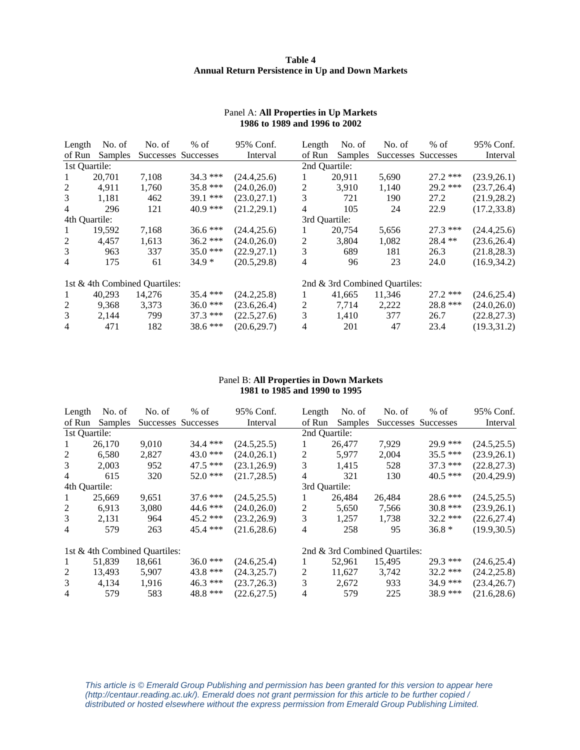#### **Table 4 Annual Return Persistence in Up and Down Markets**

| Length         | No. of  | No. of                        | $%$ of     | 95% Conf.    | Length         | No. of         | No. of                        | $%$ of              | 95% Conf.    |
|----------------|---------|-------------------------------|------------|--------------|----------------|----------------|-------------------------------|---------------------|--------------|
| of Run         | Samples | Successes Successes           |            | Interval     | of Run         | <b>Samples</b> |                               | Successes Successes | Interval     |
| 1st Quartile:  |         |                               |            |              | 2nd Quartile:  |                |                               |                     |              |
| 1              | 20,701  | 7,108                         | $34.3***$  | (24.4, 25.6) | 1              | 20,911         | 5,690                         | $27.2$ ***          | (23.9, 26.1) |
| 2              | 4,911   | 1,760                         | $35.8***$  | (24.0, 26.0) | 2              | 3,910          | 1,140                         | $29.2$ ***          | (23.7, 26.4) |
| 3              | 1.181   | 462                           | $39.1$ *** | (23.0, 27.1) | 3              | 721            | 190                           | 27.2                | (21.9, 28.2) |
| 4              | 296     | 121                           | $40.9***$  | (21.2, 29.1) | 4              | 105            | 24                            | 22.9                | (17.2, 33.8) |
| 4th Quartile:  |         |                               |            |              | 3rd Quartile:  |                |                               |                     |              |
| 1              | 19,592  | 7.168                         | $36.6***$  | (24.4, 25.6) | 1              | 20,754         | 5,656                         | $27.3***$           | (24.4, 25.6) |
| 2              | 4,457   | 1,613                         | $36.2$ *** | (24.0, 26.0) | 2              | 3,804          | 1,082                         | 28.4 **             | (23.6, 26.4) |
| 3              | 963     | 337                           | $35.0***$  | (22.9, 27.1) | 3              | 689            | 181                           | 26.3                | (21.8, 28.3) |
| $\overline{4}$ | 175     | 61                            | $34.9*$    | (20.5, 29.8) | $\overline{4}$ | 96             | 23                            | 24.0                | (16.9, 34.2) |
|                |         | 1st & 4th Combined Quartiles: |            |              |                |                | 2nd & 3rd Combined Quartiles: |                     |              |
| 1              | 40.293  | 14.276                        | $35.4$ *** | (24.2, 25.8) |                | 41.665         | 11,346                        | $27.2$ ***          | (24.6, 25.4) |
| 2              | 9,368   | 3,373                         | $36.0$ *** | (23.6, 26.4) | 2              | 7,714          | 2,222                         | 28.8 ***            | (24.0, 26.0) |
| 3              | 2,144   | 799                           | $37.3***$  | (22.5, 27.6) | 3              | 1,410          | 377                           | 26.7                | (22.8, 27.3) |
| 4              | 471     | 182                           | 38.6 ***   | (20.6, 29.7) | 4              | 201            | 47                            | 23.4                | (19.3, 31.2) |

#### Panel A: **All Properties in Up Markets 1986 to 1989 and 1996 to 2002**

#### Panel B: **All Properties in Down Markets 1981 to 1985 and 1990 to 1995**

| Length         | No. of  | No. of                        | $%$ of     | 95% Conf.    | Length        | No. of         | No. of                        | $%$ of     | 95% Conf.    |
|----------------|---------|-------------------------------|------------|--------------|---------------|----------------|-------------------------------|------------|--------------|
| of Run         | Samples | Successes Successes           |            | Interval     | of Run        | <b>Samples</b> | Successes Successes           |            | Interval     |
| 1st Quartile:  |         |                               |            |              | 2nd Quartile: |                |                               |            |              |
| 1              | 26,170  | 9.010                         | $34.4$ *** | (24.5, 25.5) |               | 26,477         | 7.929                         | $29.9***$  | (24.5, 25.5) |
| 2              | 6,580   | 2,827                         | 43.0 ***   | (24.0, 26.1) | 2             | 5,977          | 2,004                         | $35.5***$  | (23.9, 26.1) |
| 3              | 2,003   | 952                           | $47.5$ *** | (23.1, 26.9) | 3             | 1,415          | 528                           | $37.3***$  | (22.8, 27.3) |
| 4              | 615     | 320                           | $52.0***$  | (21.7, 28.5) | 4             | 321            | 130                           | $40.5***$  | (20.4, 29.9) |
| 4th Ouartile:  |         |                               |            |              | 3rd Quartile: |                |                               |            |              |
| 1              | 25,669  | 9,651                         | $37.6***$  | (24.5, 25.5) |               | 26,484         | 26,484                        | $28.6***$  | (24.5, 25.5) |
| 2              | 6,913   | 3,080                         | $44.6***$  | (24.0, 26.0) | 2             | 5,650          | 7,566                         | $30.8***$  | (23.9, 26.1) |
| 3              | 2,131   | 964                           | $45.2$ *** | (23.2, 26.9) | 3             | 1,257          | 1,738                         | $32.2$ *** | (22.6, 27.4) |
| 4              | 579     | 263                           | 45.4 ***   | (21.6, 28.6) | 4             | 258            | 95                            | $36.8*$    | (19.9, 30.5) |
|                |         | 1st & 4th Combined Quartiles: |            |              |               |                | 2nd & 3rd Combined Quartiles: |            |              |
| 1              | 51,839  | 18.661                        | $36.0***$  | (24.6, 25.4) |               | 52,961         | 15,495                        | $29.3***$  | (24.6, 25.4) |
| 2              | 13,493  | 5,907                         | 43.8 ***   | (24.3, 25.7) | 2             | 11,627         | 3,742                         | $32.2$ *** | (24.2, 25.8) |
| 3              | 4,134   | 1,916                         | $46.3***$  | (23.7, 26.3) | 3             | 2,672          | 933                           | $34.9***$  | (23.4, 26.7) |
| $\overline{4}$ | 579     | 583                           | 48.8 ***   | (22.6, 27.5) | 4             | 579            | 225                           | 38.9 ***   | (21.6, 28.6) |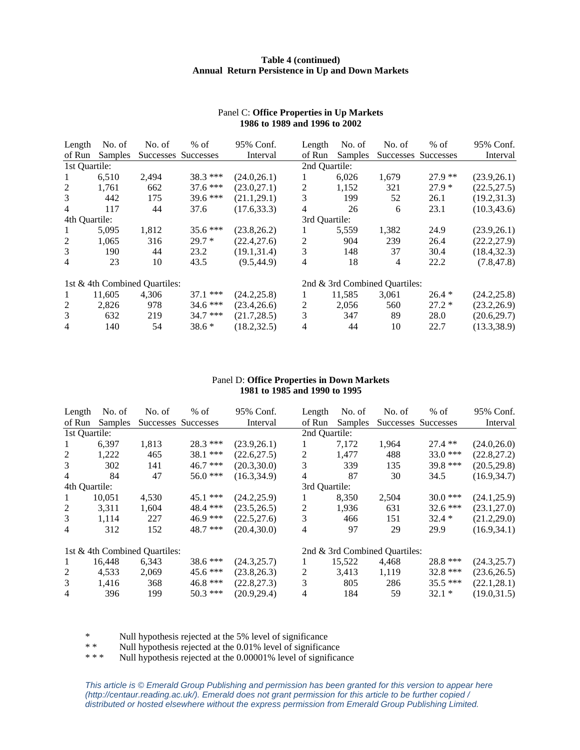#### **Table 4 (continued) Annual Return Persistence in Up and Down Markets**

| Length        | No. of         | No. of                        | $%$ of              | 95% Conf.    | Length         | No. of         | No. of                        | $%$ of              | 95% Conf.    |  |  |
|---------------|----------------|-------------------------------|---------------------|--------------|----------------|----------------|-------------------------------|---------------------|--------------|--|--|
| of Run        | <b>Samples</b> |                               | Successes Successes | Interval     | of Run         | <b>Samples</b> |                               | Successes Successes | Interval     |  |  |
| 1st Quartile: |                |                               |                     |              | 2nd Quartile:  |                |                               |                     |              |  |  |
|               | 6,510          | 2,494                         | 38.3 ***            | (24.0, 26.1) |                | 6,026          | 1,679                         | $27.9**$            | (23.9, 26.1) |  |  |
| 2             | 1,761          | 662                           | $37.6***$           | (23.0, 27.1) | 2              | 1,152          | 321                           | $27.9*$             | (22.5, 27.5) |  |  |
| 3             | 442            | 175                           | $39.6***$           | (21.1, 29.1) | 3              | 199            | 52                            | 26.1                | (19.2, 31.3) |  |  |
| 4             | 117            | 44                            | 37.6                | (17.6, 33.3) | $\overline{4}$ | 26             | 6                             | 23.1                | (10.3, 43.6) |  |  |
| 4th Quartile: |                |                               |                     |              |                | 3rd Quartile:  |                               |                     |              |  |  |
|               | 5,095          | 1,812                         | $35.6***$           | (23.8, 26.2) |                | 5,559          | 1,382                         | 24.9                | (23.9, 26.1) |  |  |
| 2             | 1,065          | 316                           | $29.7*$             | (22.4, 27.6) | 2              | 904            | 239                           | 26.4                | (22.2, 27.9) |  |  |
| 3             | 190            | 44                            | 23.2                | (19.1, 31.4) | 3              | 148            | 37                            | 30.4                | (18.4, 32.3) |  |  |
| 4             | 23             | 10                            | 43.5                | (9.5, 44.9)  | $\overline{4}$ | 18             | 4                             | 22.2                | (7.8, 47.8)  |  |  |
|               |                | 1st & 4th Combined Quartiles: |                     |              |                |                | 2nd & 3rd Combined Quartiles: |                     |              |  |  |
| 1             | 11,605         | 4.306                         | $37.1***$           | (24.2, 25.8) |                | 11,585         | 3,061                         | $26.4*$             | (24.2, 25.8) |  |  |
| 2             | 2,826          | 978                           | $34.6$ ***          | (23.4, 26.6) | 2              | 2,056          | 560                           | $27.2*$             | (23.2, 26.9) |  |  |
| 3             | 632            | 219                           | $34.7$ ***          | (21.7, 28.5) | 3              | 347            | 89                            | 28.0                | (20.6, 29.7) |  |  |
| 4             | 140            | 54                            | $38.6*$             | (18.2, 32.5) | 4              | 44             | 10                            | 22.7                | (13.3, 38.9) |  |  |

#### Panel C: **Office Properties in Up Markets 1986 to 1989 and 1996 to 2002**

#### Panel D: **Office Properties in Down Markets 1981 to 1985 and 1990 to 1995**

| Length        | No. of  | No. of                        | $%$ of              | 95% Conf.    | Length        | No. of         | No. of                        | $%$ of              | 95% Conf.    |  |  |
|---------------|---------|-------------------------------|---------------------|--------------|---------------|----------------|-------------------------------|---------------------|--------------|--|--|
| of Run        | Samples |                               | Successes Successes | Interval     | of Run        | <b>Samples</b> |                               | Successes Successes | Interval     |  |  |
| 1st Quartile: |         |                               |                     |              | 2nd Quartile: |                |                               |                     |              |  |  |
| 1             | 6,397   | 1,813                         | $28.3***$           | (23.9, 26.1) |               | 7.172          | 1,964                         | $27.4$ **           | (24.0, 26.0) |  |  |
| 2             | 1,222   | 465                           | 38.1 ***            | (22.6, 27.5) | 2             | 1,477          | 488                           | $33.0***$           | (22.8, 27.2) |  |  |
| 3             | 302     | 141                           | 46.7 ***            | (20.3, 30.0) | 3             | 339            | 135                           | 39.8 ***            | (20.5, 29.8) |  |  |
| 4             | 84      | 47                            | 56.0 ***            | (16.3, 34.9) | 4             | 87             | 30                            | 34.5                | (16.9, 34.7) |  |  |
| 4th Quartile: |         |                               |                     |              |               | 3rd Quartile:  |                               |                     |              |  |  |
| 1             | 10,051  | 4,530                         | $45.1$ ***          | (24.2, 25.9) |               | 8,350          | 2,504                         | $30.0$ ***          | (24.1, 25.9) |  |  |
| 2             | 3,311   | 1,604                         | 48.4 ***            | (23.5, 26.5) | 2             | 1,936          | 631                           | $32.6***$           | (23.1, 27.0) |  |  |
| 3             | 1,114   | 227                           | $46.9***$           | (22.5, 27.6) | 3             | 466            | 151                           | $32.4*$             | (21.2, 29.0) |  |  |
| 4             | 312     | 152                           | 48.7 ***            | (20.4, 30.0) | 4             | 97             | 29                            | 29.9                | (16.9, 34.1) |  |  |
|               |         | 1st & 4th Combined Quartiles: |                     |              |               |                | 2nd & 3rd Combined Quartiles: |                     |              |  |  |
| 1             | 16.448  | 6.343                         | $38.6***$           | (24.3, 25.7) |               | 15,522         | 4.468                         | $28.8$ ***          | (24.3, 25.7) |  |  |
| 2             | 4,533   | 2,069                         | $45.6***$           | (23.8, 26.3) | 2             | 3,413          | 1,119                         | $32.8$ ***          | (23.6, 26.5) |  |  |
| 3             | 1,416   | 368                           | 46.8 ***            | (22.8, 27.3) | 3             | 805            | 286                           | $35.5***$           | (22.1, 28.1) |  |  |
| 4             | 396     | 199                           | $50.3***$           | (20.9, 29.4) | 4             | 184            | 59                            | $32.1*$             | (19.0, 31.5) |  |  |

\* Null hypothesis rejected at the 5% level of significance<br>\* \* Null hypothesis rejected at the 0.01% level of significance

\* \* Null hypothesis rejected at the 0.01% level of significance<br>\* \* \* Null hypothesis rejected at the 0.00001% level of significan

Null hypothesis rejected at the 0.00001% level of significance